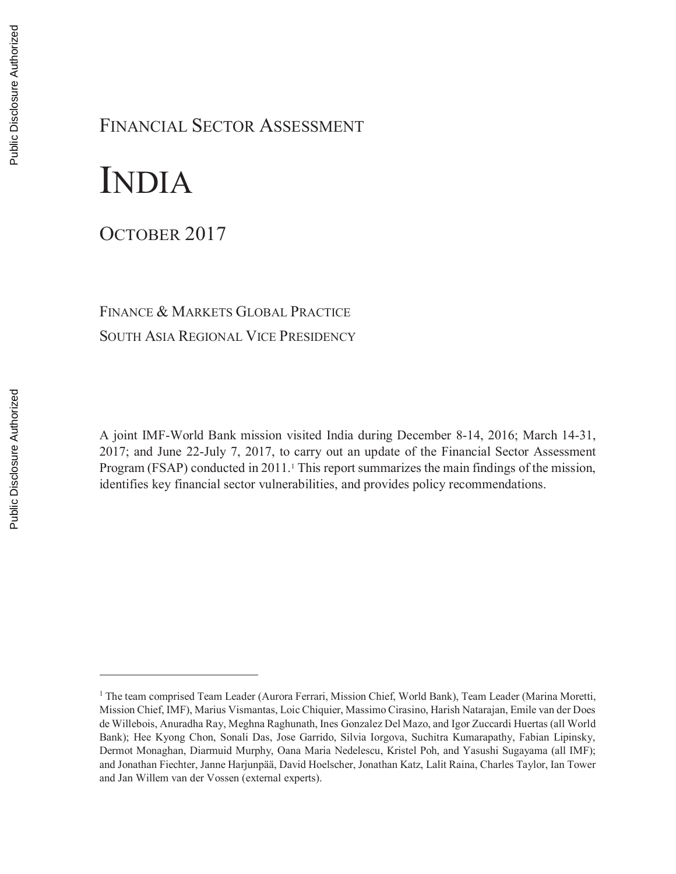# FINANCIAL SECTOR ASSESSMENT

# INDIA

OCTOBER 2017

# FINANCE & MARKETS GLOBAL PRACTICE SOUTH ASIA REGIONAL VICE PRESIDENCY

A joint IMF-World Bank mission visited India during December 8-14, 2016; March 14-31, 2017; and June 22-July 7, 2017, to carry out an update of the Financial Sector Assessment Program (FSAP) conducted in 2011.<sup>1</sup> This report summarizes the main findings of the mission, identifies key financial sector vulnerabilities, and provides policy recommendations.

 $\overline{a}$ 

<sup>&</sup>lt;sup>1</sup> The team comprised Team Leader (Aurora Ferrari, Mission Chief, World Bank), Team Leader (Marina Moretti, Mission Chief, IMF), Marius Vismantas, Loic Chiquier, Massimo Cirasino, Harish Natarajan, Emile van der Does de Willebois, Anuradha Ray, Meghna Raghunath, Ines Gonzalez Del Mazo, and Igor Zuccardi Huertas (all World Bank); Hee Kyong Chon, Sonali Das, Jose Garrido, Silvia Iorgova, Suchitra Kumarapathy, Fabian Lipinsky, Dermot Monaghan, Diarmuid Murphy, Oana Maria Nedelescu, Kristel Poh, and Yasushi Sugayama (all IMF); and Jonathan Fiechter, Janne Harjunpää, David Hoelscher, Jonathan Katz, Lalit Raina, Charles Taylor, Ian Tower and Jan Willem van der Vossen (external experts).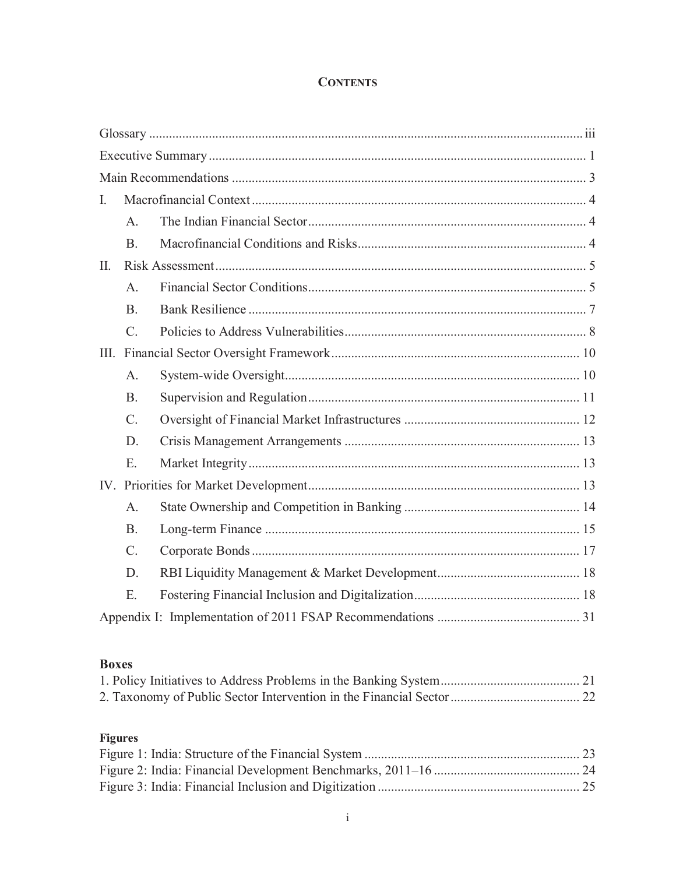### **CONTENTS**

| I.   |             |  |
|------|-------------|--|
|      | A.          |  |
|      | <b>B.</b>   |  |
| II.  |             |  |
|      | A.          |  |
|      | B.          |  |
|      | $C$ .       |  |
| III. |             |  |
|      | A.          |  |
|      | <b>B.</b>   |  |
|      | $C_{\cdot}$ |  |
|      | D.          |  |
|      | E.          |  |
|      |             |  |
|      | A.          |  |
|      | <b>B.</b>   |  |
|      | C.          |  |
|      | D.          |  |
|      | E.          |  |
|      |             |  |

## **Boxes**

# **Figures**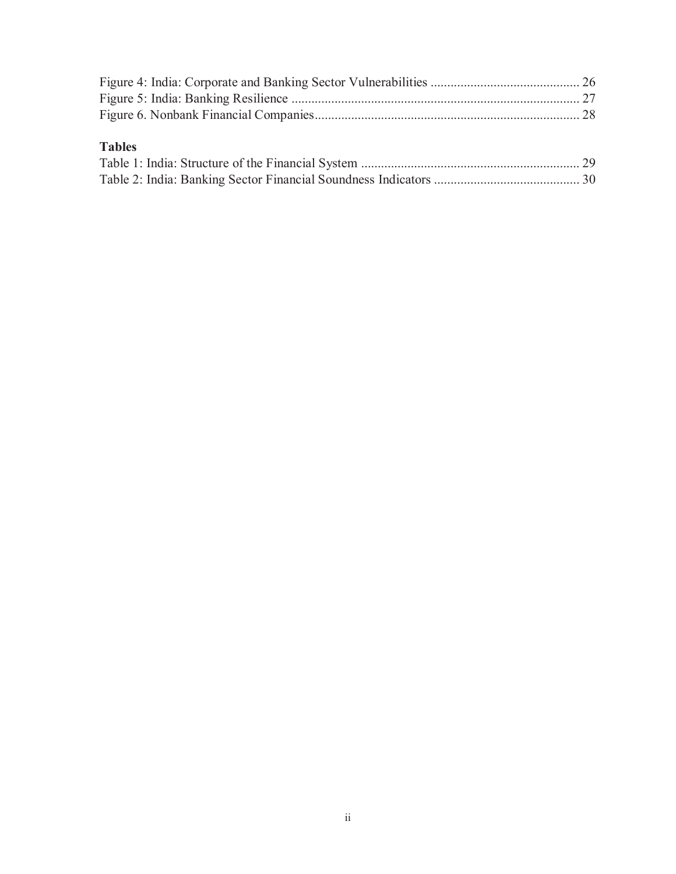# **Tables**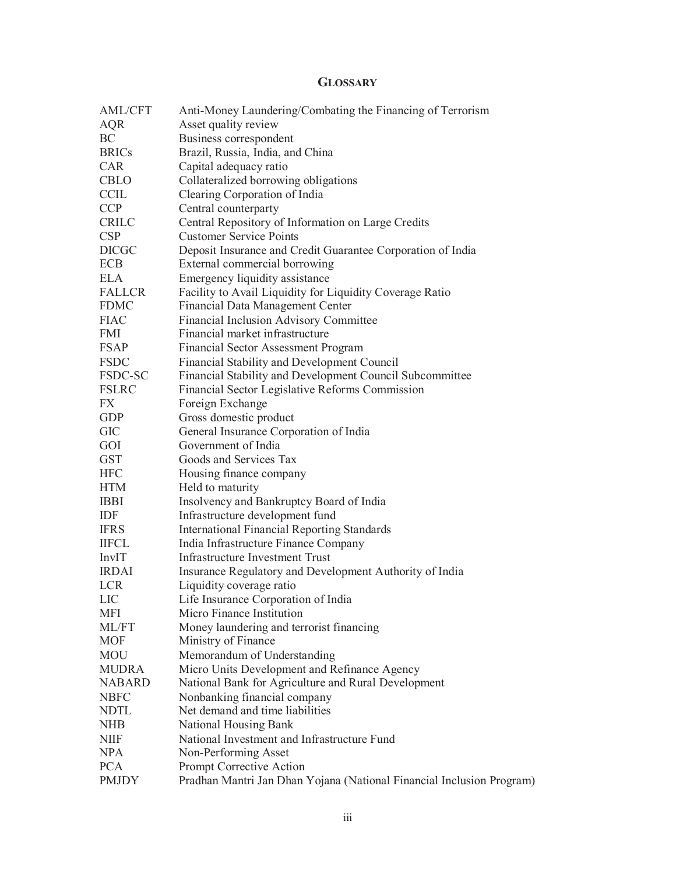#### **GLOSSARY**

| <b>AML/CFT</b> | Anti-Money Laundering/Combating the Financing of Terrorism            |
|----------------|-----------------------------------------------------------------------|
| AQR            | Asset quality review                                                  |
| BC             | Business correspondent                                                |
| <b>BRICs</b>   | Brazil, Russia, India, and China                                      |
| <b>CAR</b>     | Capital adequacy ratio                                                |
| CBLO           | Collateralized borrowing obligations                                  |
| <b>CCIL</b>    | Clearing Corporation of India                                         |
| <b>CCP</b>     | Central counterparty                                                  |
| <b>CRILC</b>   | Central Repository of Information on Large Credits                    |
| <b>CSP</b>     | <b>Customer Service Points</b>                                        |
| <b>DICGC</b>   | Deposit Insurance and Credit Guarantee Corporation of India           |
| <b>ECB</b>     | External commercial borrowing                                         |
| <b>ELA</b>     | Emergency liquidity assistance                                        |
| <b>FALLCR</b>  | Facility to Avail Liquidity for Liquidity Coverage Ratio              |
| <b>FDMC</b>    | Financial Data Management Center                                      |
| <b>FIAC</b>    | Financial Inclusion Advisory Committee                                |
| FMI            | Financial market infrastructure                                       |
| <b>FSAP</b>    | Financial Sector Assessment Program                                   |
| <b>FSDC</b>    | Financial Stability and Development Council                           |
| FSDC-SC        | Financial Stability and Development Council Subcommittee              |
| <b>FSLRC</b>   | Financial Sector Legislative Reforms Commission                       |
| FX             | Foreign Exchange                                                      |
| <b>GDP</b>     | Gross domestic product                                                |
| <b>GIC</b>     | General Insurance Corporation of India                                |
| GOI            | Government of India                                                   |
| <b>GST</b>     | Goods and Services Tax                                                |
| <b>HFC</b>     | Housing finance company                                               |
| <b>HTM</b>     | Held to maturity                                                      |
| <b>IBBI</b>    | Insolvency and Bankruptcy Board of India                              |
| IDF            | Infrastructure development fund                                       |
| <b>IFRS</b>    | <b>International Financial Reporting Standards</b>                    |
| <b>IIFCL</b>   | India Infrastructure Finance Company                                  |
| InvIT          | <b>Infrastructure Investment Trust</b>                                |
| <b>IRDAI</b>   | Insurance Regulatory and Development Authority of India               |
| <b>LCR</b>     | Liquidity coverage ratio                                              |
| LIC            | Life Insurance Corporation of India                                   |
| <b>MFI</b>     | Micro Finance Institution                                             |
| ML/FT          | Money laundering and terrorist financing                              |
| <b>MOF</b>     | Ministry of Finance                                                   |
| <b>MOU</b>     | Memorandum of Understanding                                           |
| <b>MUDRA</b>   | Micro Units Development and Refinance Agency                          |
| <b>NABARD</b>  | National Bank for Agriculture and Rural Development                   |
| <b>NBFC</b>    | Nonbanking financial company                                          |
| <b>NDTL</b>    | Net demand and time liabilities                                       |
| <b>NHB</b>     | National Housing Bank                                                 |
| NIIF           | National Investment and Infrastructure Fund                           |
| <b>NPA</b>     | Non-Performing Asset                                                  |
| <b>PCA</b>     | Prompt Corrective Action                                              |
| <b>PMJDY</b>   | Pradhan Mantri Jan Dhan Yojana (National Financial Inclusion Program) |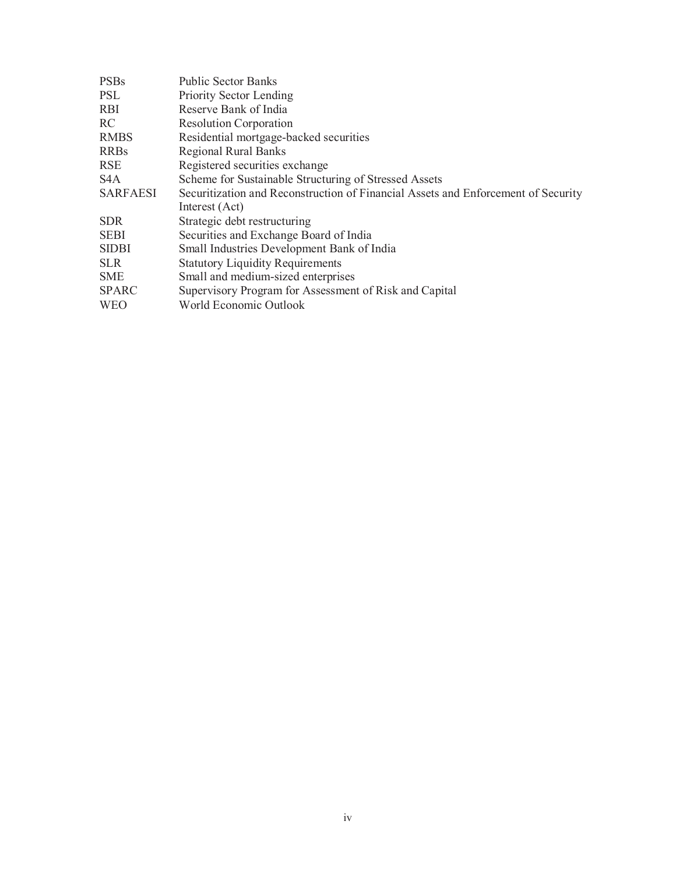| <b>PSBs</b>      | <b>Public Sector Banks</b>                                                        |
|------------------|-----------------------------------------------------------------------------------|
| PSL              | Priority Sector Lending                                                           |
| RBI              | Reserve Bank of India                                                             |
| RC               | <b>Resolution Corporation</b>                                                     |
| <b>RMBS</b>      | Residential mortgage-backed securities                                            |
| <b>RRBs</b>      | <b>Regional Rural Banks</b>                                                       |
| <b>RSE</b>       | Registered securities exchange                                                    |
| S <sub>4</sub> A | Scheme for Sustainable Structuring of Stressed Assets                             |
| <b>SARFAESI</b>  | Securitization and Reconstruction of Financial Assets and Enforcement of Security |
|                  | Interest (Act)                                                                    |
| <b>SDR</b>       | Strategic debt restructuring                                                      |
| <b>SEBI</b>      | Securities and Exchange Board of India                                            |
| <b>SIDBI</b>     | Small Industries Development Bank of India                                        |
| <b>SLR</b>       | <b>Statutory Liquidity Requirements</b>                                           |
| SME              | Small and medium-sized enterprises                                                |
| <b>SPARC</b>     | Supervisory Program for Assessment of Risk and Capital                            |
| <b>WEO</b>       | World Economic Outlook                                                            |
|                  |                                                                                   |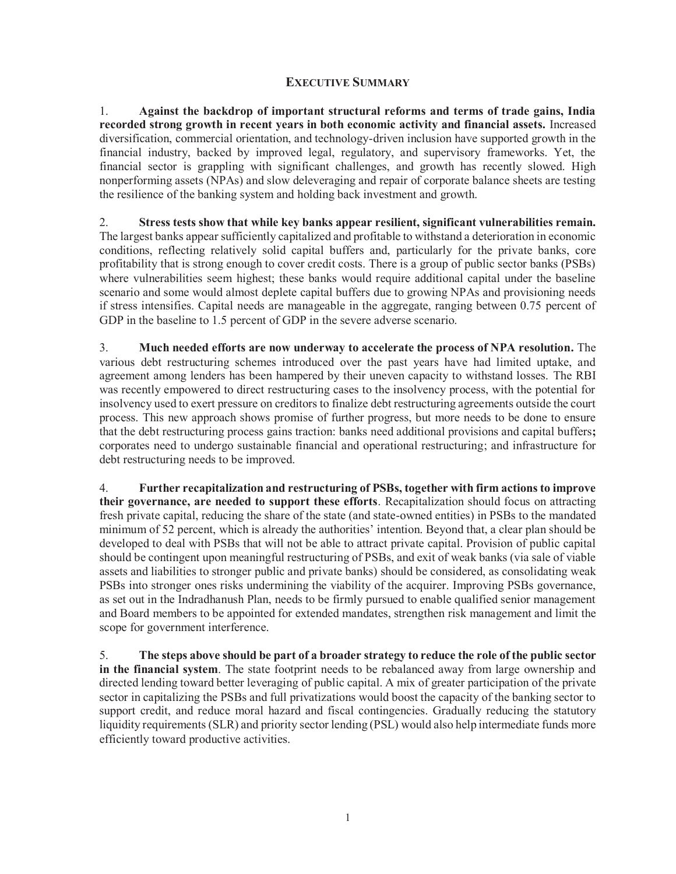#### **EXECUTIVE SUMMARY**

1. **Against the backdrop of important structural reforms and terms of trade gains, India recorded strong growth in recent years in both economic activity and financial assets.** Increased diversification, commercial orientation, and technology-driven inclusion have supported growth in the financial industry, backed by improved legal, regulatory, and supervisory frameworks. Yet, the financial sector is grappling with significant challenges, and growth has recently slowed. High nonperforming assets (NPAs) and slow deleveraging and repair of corporate balance sheets are testing the resilience of the banking system and holding back investment and growth.

2. **Stress tests show that while key banks appear resilient, significant vulnerabilities remain.**  The largest banks appear sufficiently capitalized and profitable to withstand a deterioration in economic conditions, reflecting relatively solid capital buffers and, particularly for the private banks, core profitability that is strong enough to cover credit costs. There is a group of public sector banks (PSBs) where vulnerabilities seem highest; these banks would require additional capital under the baseline scenario and some would almost deplete capital buffers due to growing NPAs and provisioning needs if stress intensifies. Capital needs are manageable in the aggregate, ranging between 0.75 percent of GDP in the baseline to 1.5 percent of GDP in the severe adverse scenario.

3. **Much needed efforts are now underway to accelerate the process of NPA resolution.** The various debt restructuring schemes introduced over the past years have had limited uptake, and agreement among lenders has been hampered by their uneven capacity to withstand losses. The RBI was recently empowered to direct restructuring cases to the insolvency process, with the potential for insolvency used to exert pressure on creditors to finalize debt restructuring agreements outside the court process. This new approach shows promise of further progress, but more needs to be done to ensure that the debt restructuring process gains traction: banks need additional provisions and capital buffers**;**  corporates need to undergo sustainable financial and operational restructuring; and infrastructure for debt restructuring needs to be improved.

4. **Further recapitalization and restructuring of PSBs, together with firm actions to improve their governance, are needed to support these efforts**. Recapitalization should focus on attracting fresh private capital, reducing the share of the state (and state-owned entities) in PSBs to the mandated minimum of 52 percent, which is already the authorities' intention. Beyond that, a clear plan should be developed to deal with PSBs that will not be able to attract private capital. Provision of public capital should be contingent upon meaningful restructuring of PSBs, and exit of weak banks (via sale of viable assets and liabilities to stronger public and private banks) should be considered, as consolidating weak PSBs into stronger ones risks undermining the viability of the acquirer. Improving PSBs governance, as set out in the Indradhanush Plan, needs to be firmly pursued to enable qualified senior management and Board members to be appointed for extended mandates, strengthen risk management and limit the scope for government interference.

5. **The steps above should be part of a broader strategy to reduce the role of the public sector in the financial system**. The state footprint needs to be rebalanced away from large ownership and directed lending toward better leveraging of public capital. A mix of greater participation of the private sector in capitalizing the PSBs and full privatizations would boost the capacity of the banking sector to support credit, and reduce moral hazard and fiscal contingencies. Gradually reducing the statutory liquidity requirements (SLR) and priority sector lending (PSL) would also help intermediate funds more efficiently toward productive activities.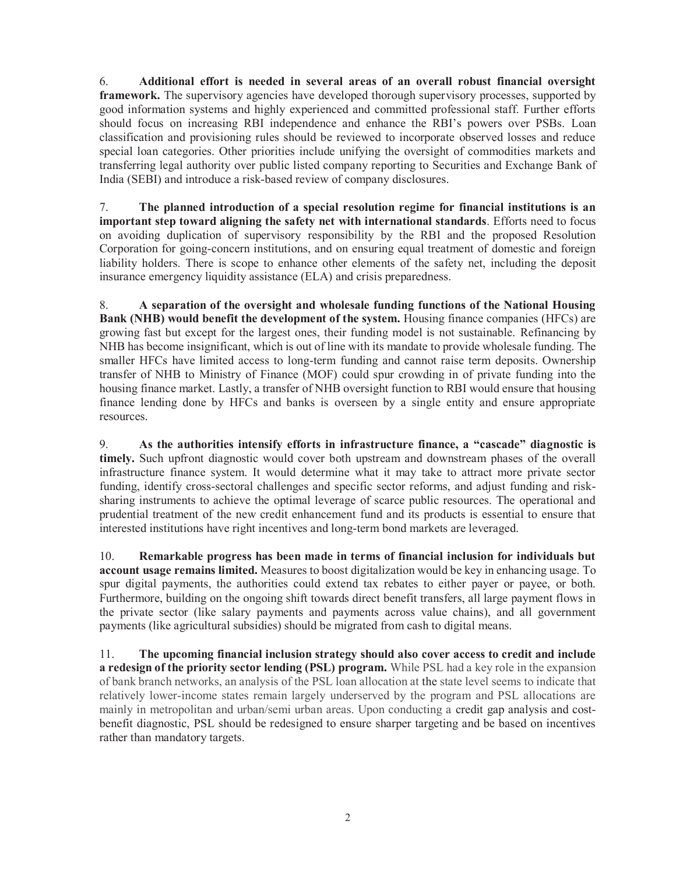6. **Additional effort is needed in several areas of an overall robust financial oversight framework.** The supervisory agencies have developed thorough supervisory processes, supported by good information systems and highly experienced and committed professional staff. Further efforts should focus on increasing RBI independence and enhance the RBI's powers over PSBs. Loan classification and provisioning rules should be reviewed to incorporate observed losses and reduce special loan categories. Other priorities include unifying the oversight of commodities markets and transferring legal authority over public listed company reporting to Securities and Exchange Bank of India (SEBI) and introduce a risk-based review of company disclosures.

7. **The planned introduction of a special resolution regime for financial institutions is an important step toward aligning the safety net with international standards**. Efforts need to focus on avoiding duplication of supervisory responsibility by the RBI and the proposed Resolution Corporation for going-concern institutions, and on ensuring equal treatment of domestic and foreign liability holders. There is scope to enhance other elements of the safety net, including the deposit insurance emergency liquidity assistance (ELA) and crisis preparedness.

8. **A separation of the oversight and wholesale funding functions of the National Housing Bank (NHB) would benefit the development of the system.** Housing finance companies (HFCs) are growing fast but except for the largest ones, their funding model is not sustainable. Refinancing by NHB has become insignificant, which is out of line with its mandate to provide wholesale funding. The smaller HFCs have limited access to long-term funding and cannot raise term deposits. Ownership transfer of NHB to Ministry of Finance (MOF) could spur crowding in of private funding into the housing finance market. Lastly, a transfer of NHB oversight function to RBI would ensure that housing finance lending done by HFCs and banks is overseen by a single entity and ensure appropriate resources.

9. **As the authorities intensify efforts in infrastructure finance, a "cascade" diagnostic is timely.** Such upfront diagnostic would cover both upstream and downstream phases of the overall infrastructure finance system. It would determine what it may take to attract more private sector funding, identify cross-sectoral challenges and specific sector reforms, and adjust funding and risksharing instruments to achieve the optimal leverage of scarce public resources. The operational and prudential treatment of the new credit enhancement fund and its products is essential to ensure that interested institutions have right incentives and long-term bond markets are leveraged.

10. **Remarkable progress has been made in terms of financial inclusion for individuals but account usage remains limited.** Measures to boost digitalization would be key in enhancing usage. To spur digital payments, the authorities could extend tax rebates to either payer or payee, or both. Furthermore, building on the ongoing shift towards direct benefit transfers, all large payment flows in the private sector (like salary payments and payments across value chains), and all government payments (like agricultural subsidies) should be migrated from cash to digital means.

11. **The upcoming financial inclusion strategy should also cover access to credit and include a redesign of the priority sector lending (PSL) program.** While PSL had a key role in the expansion of bank branch networks, an analysis of the PSL loan allocation at the state level seems to indicate that relatively lower-income states remain largely underserved by the program and PSL allocations are mainly in metropolitan and urban/semi urban areas. Upon conducting a credit gap analysis and costbenefit diagnostic, PSL should be redesigned to ensure sharper targeting and be based on incentives rather than mandatory targets.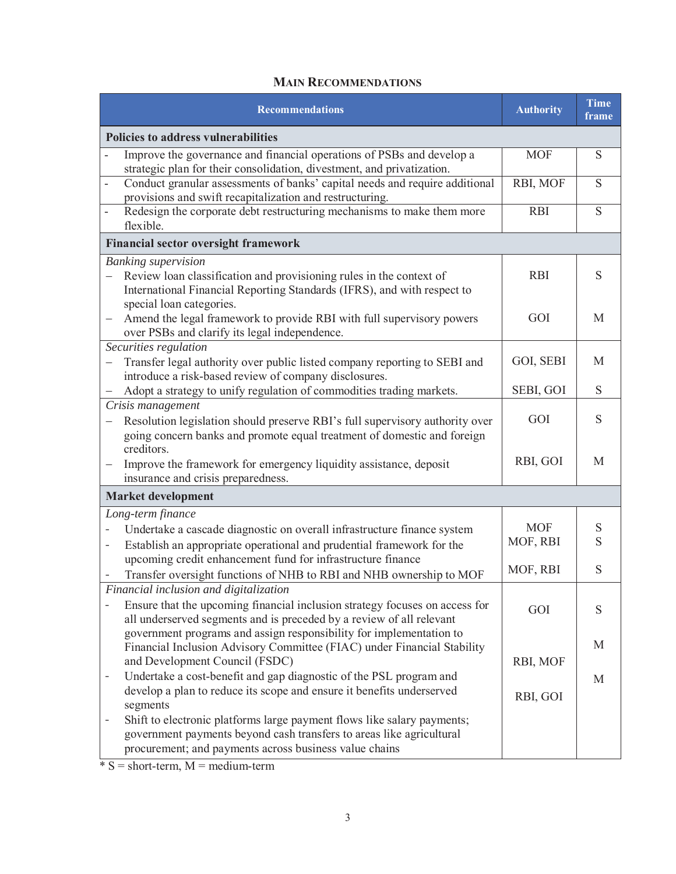### **MAIN RECOMMENDATIONS**

| <b>Recommendations</b>                                                                                                                                                                                                                            | <b>Authority</b> | <b>Time</b><br>frame |
|---------------------------------------------------------------------------------------------------------------------------------------------------------------------------------------------------------------------------------------------------|------------------|----------------------|
| <b>Policies to address vulnerabilities</b>                                                                                                                                                                                                        |                  |                      |
| Improve the governance and financial operations of PSBs and develop a<br>strategic plan for their consolidation, divestment, and privatization.                                                                                                   | <b>MOF</b>       | S                    |
| Conduct granular assessments of banks' capital needs and require additional<br>÷,<br>provisions and swift recapitalization and restructuring.                                                                                                     | RBI, MOF         | S                    |
| Redesign the corporate debt restructuring mechanisms to make them more<br>flexible.                                                                                                                                                               | <b>RBI</b>       | S                    |
| <b>Financial sector oversight framework</b>                                                                                                                                                                                                       |                  |                      |
| <b>Banking supervision</b>                                                                                                                                                                                                                        |                  |                      |
| Review loan classification and provisioning rules in the context of<br>International Financial Reporting Standards (IFRS), and with respect to<br>special loan categories.                                                                        | <b>RBI</b>       | S                    |
| Amend the legal framework to provide RBI with full supervisory powers<br>over PSBs and clarify its legal independence.                                                                                                                            | GOI              | M                    |
| Securities regulation                                                                                                                                                                                                                             |                  |                      |
| Transfer legal authority over public listed company reporting to SEBI and<br>—<br>introduce a risk-based review of company disclosures.                                                                                                           | GOI, SEBI        | M                    |
| Adopt a strategy to unify regulation of commodities trading markets.                                                                                                                                                                              | SEBI, GOI        | S                    |
| Crisis management<br>Resolution legislation should preserve RBI's full supervisory authority over<br>going concern banks and promote equal treatment of domestic and foreign                                                                      | GOI              | S                    |
| creditors.<br>Improve the framework for emergency liquidity assistance, deposit<br>insurance and crisis preparedness.                                                                                                                             | RBI, GOI         | M                    |
| <b>Market development</b>                                                                                                                                                                                                                         |                  |                      |
| Long-term finance                                                                                                                                                                                                                                 |                  |                      |
| Undertake a cascade diagnostic on overall infrastructure finance system                                                                                                                                                                           | <b>MOF</b>       | S                    |
| Establish an appropriate operational and prudential framework for the<br>$\overline{\phantom{0}}$                                                                                                                                                 | MOF, RBI         | S                    |
| upcoming credit enhancement fund for infrastructure finance<br>Transfer oversight functions of NHB to RBI and NHB ownership to MOF                                                                                                                | MOF, RBI         | S                    |
| Financial inclusion and digitalization<br>Ensure that the upcoming financial inclusion strategy focuses on access for<br>all underserved segments and is preceded by a review of all relevant                                                     | GOI              | S                    |
| government programs and assign responsibility for implementation to<br>Financial Inclusion Advisory Committee (FIAC) under Financial Stability<br>and Development Council (FSDC)                                                                  | RBI, MOF         | M                    |
| Undertake a cost-benefit and gap diagnostic of the PSL program and<br>$\overline{a}$<br>develop a plan to reduce its scope and ensure it benefits underserved                                                                                     | RBI, GOI         | M                    |
| segments<br>Shift to electronic platforms large payment flows like salary payments;<br>$\overline{\phantom{0}}$<br>government payments beyond cash transfers to areas like agricultural<br>procurement; and payments across business value chains |                  |                      |

 $* S = short-term, M = medium-term$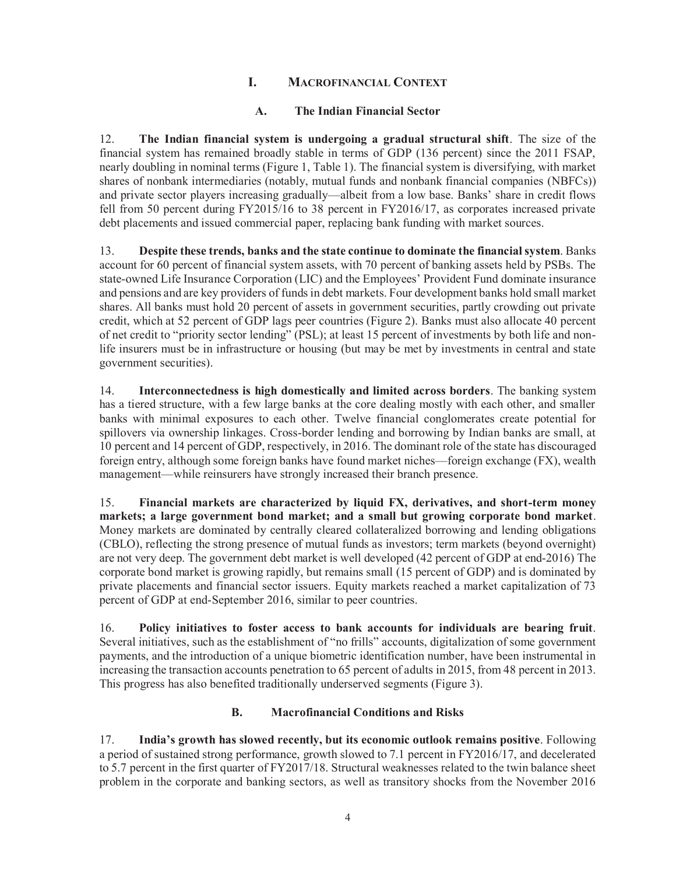#### **I. MACROFINANCIAL CONTEXT**

#### **A. The Indian Financial Sector**

12. **The Indian financial system is undergoing a gradual structural shift**. The size of the financial system has remained broadly stable in terms of GDP (136 percent) since the 2011 FSAP, nearly doubling in nominal terms (Figure 1, Table 1). The financial system is diversifying, with market shares of nonbank intermediaries (notably, mutual funds and nonbank financial companies (NBFCs)) and private sector players increasing gradually—albeit from a low base. Banks' share in credit flows fell from 50 percent during FY2015/16 to 38 percent in FY2016/17, as corporates increased private debt placements and issued commercial paper, replacing bank funding with market sources.

13. **Despite these trends, banks and the state continue to dominate the financial system**. Banks account for 60 percent of financial system assets, with 70 percent of banking assets held by PSBs. The state-owned Life Insurance Corporation (LIC) and the Employees' Provident Fund dominate insurance and pensions and are key providers of funds in debt markets. Four development banks hold small market shares. All banks must hold 20 percent of assets in government securities, partly crowding out private credit, which at 52 percent of GDP lags peer countries (Figure 2). Banks must also allocate 40 percent of net credit to "priority sector lending" (PSL); at least 15 percent of investments by both life and nonlife insurers must be in infrastructure or housing (but may be met by investments in central and state government securities).

14. **Interconnectedness is high domestically and limited across borders**. The banking system has a tiered structure, with a few large banks at the core dealing mostly with each other, and smaller banks with minimal exposures to each other. Twelve financial conglomerates create potential for spillovers via ownership linkages. Cross-border lending and borrowing by Indian banks are small, at 10 percent and 14 percent of GDP, respectively, in 2016. The dominant role of the state has discouraged foreign entry, although some foreign banks have found market niches—foreign exchange (FX), wealth management—while reinsurers have strongly increased their branch presence.

15. **Financial markets are characterized by liquid FX, derivatives, and short-term money markets; a large government bond market; and a small but growing corporate bond market**. Money markets are dominated by centrally cleared collateralized borrowing and lending obligations (CBLO), reflecting the strong presence of mutual funds as investors; term markets (beyond overnight) are not very deep. The government debt market is well developed (42 percent of GDP at end-2016) The corporate bond market is growing rapidly, but remains small (15 percent of GDP) and is dominated by private placements and financial sector issuers. Equity markets reached a market capitalization of 73 percent of GDP at end-September 2016, similar to peer countries.

16. **Policy initiatives to foster access to bank accounts for individuals are bearing fruit**. Several initiatives, such as the establishment of "no frills" accounts, digitalization of some government payments, and the introduction of a unique biometric identification number, have been instrumental in increasing the transaction accounts penetration to 65 percent of adults in 2015, from 48 percent in 2013. This progress has also benefited traditionally underserved segments (Figure 3).

#### **B. Macrofinancial Conditions and Risks**

17. **India's growth has slowed recently, but its economic outlook remains positive**. Following a period of sustained strong performance, growth slowed to 7.1 percent in FY2016/17, and decelerated to 5.7 percent in the first quarter of FY2017/18. Structural weaknesses related to the twin balance sheet problem in the corporate and banking sectors, as well as transitory shocks from the November 2016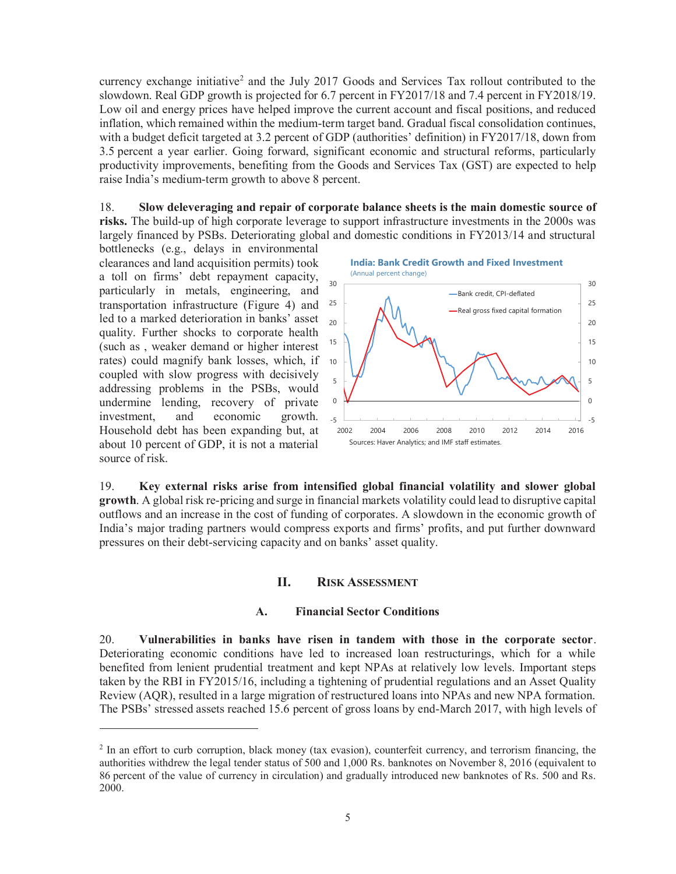currency exchange initiative<sup>2</sup> and the July 2017 Goods and Services Tax rollout contributed to the slowdown. Real GDP growth is projected for 6.7 percent in FY2017/18 and 7.4 percent in FY2018/19. Low oil and energy prices have helped improve the current account and fiscal positions, and reduced inflation, which remained within the medium-term target band. Gradual fiscal consolidation continues, with a budget deficit targeted at 3.2 percent of GDP (authorities' definition) in FY2017/18, down from 3.5 percent a year earlier. Going forward, significant economic and structural reforms, particularly productivity improvements, benefiting from the Goods and Services Tax (GST) are expected to help raise India's medium-term growth to above 8 percent.

18. **Slow deleveraging and repair of corporate balance sheets is the main domestic source of risks.** The build-up of high corporate leverage to support infrastructure investments in the 2000s was largely financed by PSBs. Deteriorating global and domestic conditions in FY2013/14 and structural

bottlenecks (e.g., delays in environmental clearances and land acquisition permits) took a toll on firms' debt repayment capacity, particularly in metals, engineering, and transportation infrastructure (Figure 4) and 25 led to a marked deterioration in banks' asset quality. Further shocks to corporate health (such as , weaker demand or higher interest rates) could magnify bank losses, which, if 10 coupled with slow progress with decisively addressing problems in the PSBs, would undermine lending, recovery of private investment, and economic growth. Household debt has been expanding but, at about 10 percent of GDP, it is not a material source of risk.

 $\overline{a}$ 



Sources: Haver Analytics; and IMF staff estimates.

19. **Key external risks arise from intensified global financial volatility and slower global growth**. A global risk re-pricing and surge in financial markets volatility could lead to disruptive capital outflows and an increase in the cost of funding of corporates. A slowdown in the economic growth of India's major trading partners would compress exports and firms' profits, and put further downward pressures on their debt-servicing capacity and on banks' asset quality.

#### **II. RISK ASSESSMENT**

#### **A. Financial Sector Conditions**

20. **Vulnerabilities in banks have risen in tandem with those in the corporate sector**. Deteriorating economic conditions have led to increased loan restructurings, which for a while benefited from lenient prudential treatment and kept NPAs at relatively low levels. Important steps taken by the RBI in FY2015/16, including a tightening of prudential regulations and an Asset Quality Review (AQR), resulted in a large migration of restructured loans into NPAs and new NPA formation. The PSBs' stressed assets reached 15.6 percent of gross loans by end-March 2017, with high levels of

<sup>&</sup>lt;sup>2</sup> In an effort to curb corruption, black money (tax evasion), counterfeit currency, and terrorism financing, the authorities withdrew the legal tender status of 500 and 1,000 Rs. banknotes on November 8, 2016 (equivalent to 86 percent of the value of currency in circulation) and gradually introduced new banknotes of Rs. 500 and Rs. 2000.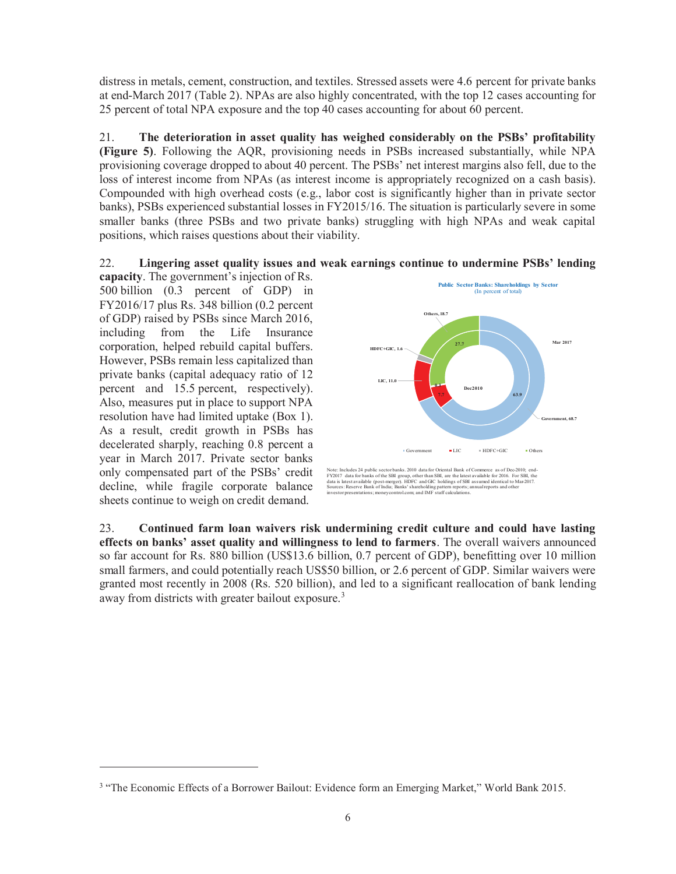distress in metals, cement, construction, and textiles. Stressed assets were 4.6 percent for private banks at end-March 2017 (Table 2). NPAs are also highly concentrated, with the top 12 cases accounting for 25 percent of total NPA exposure and the top 40 cases accounting for about 60 percent.

21. **The deterioration in asset quality has weighed considerably on the PSBs' profitability (Figure 5)**. Following the AQR, provisioning needs in PSBs increased substantially, while NPA provisioning coverage dropped to about 40 percent. The PSBs' net interest margins also fell, due to the loss of interest income from NPAs (as interest income is appropriately recognized on a cash basis). Compounded with high overhead costs (e.g., labor cost is significantly higher than in private sector banks), PSBs experienced substantial losses in FY2015/16. The situation is particularly severe in some smaller banks (three PSBs and two private banks) struggling with high NPAs and weak capital positions, which raises questions about their viability.



**capacity**. The government's injection of Rs. 500 billion (0.3 percent of GDP) in FY2016/17 plus Rs. 348 billion (0.2 percent of GDP) raised by PSBs since March 2016, including from the Life Insurance corporation, helped rebuild capital buffers. However, PSBs remain less capitalized than private banks (capital adequacy ratio of 12 percent and 15.5 percent, respectively). Also, measures put in place to support NPA resolution have had limited uptake (Box 1). As a result, credit growth in PSBs has decelerated sharply, reaching 0.8 percent a year in March 2017. Private sector banks only compensated part of the PSBs' credit decline, while fragile corporate balance sheets continue to weigh on credit demand.

 $\overline{a}$ 



Note: Includes 24 public sector banks. 2010 data for Oriental Bank of Commerce as of Dec-2010; end-FY2017 data for banks of the SBI group, other than SBI, are the latest available for 2016. For SBI, the<br>data is latest available (post-merger). HDFC and GIC holdings of SBI assumed identical to Mar-2017.<br>Sources: Reserve B

23. **Continued farm loan waivers risk undermining credit culture and could have lasting effects on banks' asset quality and willingness to lend to farmers**. The overall waivers announced so far account for Rs. 880 billion (US\$13.6 billion, 0.7 percent of GDP), benefitting over 10 million small farmers, and could potentially reach US\$50 billion, or 2.6 percent of GDP. Similar waivers were granted most recently in 2008 (Rs. 520 billion), and led to a significant reallocation of bank lending away from districts with greater bailout exposure.<sup>3</sup>

<sup>&</sup>lt;sup>3</sup> "The Economic Effects of a Borrower Bailout: Evidence form an Emerging Market," World Bank 2015.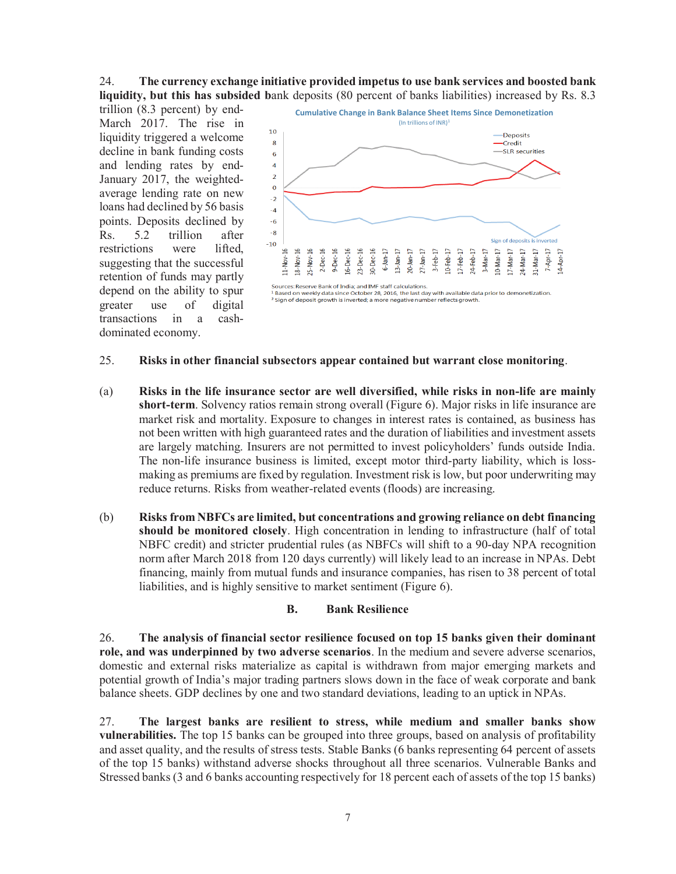#### 24. **The currency exchange initiative provided impetus to use bank services and boosted bank liquidity, but this has subsided b**ank deposits (80 percent of banks liabilities) increased by Rs. 8.3

trillion (8.3 percent) by end-March 2017. The rise in liquidity triggered a welcome decline in bank funding costs and lending rates by end-January 2017, the weightedaverage lending rate on new loans had declined by 56 basis points. Deposits declined by Rs. 5.2 trillion after restrictions were lifted, suggesting that the successful retention of funds may partly depend on the ability to spur greater use of digital transactions in a cashdominated economy.



#### 25. **Risks in other financial subsectors appear contained but warrant close monitoring**.

- (a) **Risks in the life insurance sector are well diversified, while risks in non-life are mainly short-term**. Solvency ratios remain strong overall (Figure 6). Major risks in life insurance are market risk and mortality. Exposure to changes in interest rates is contained, as business has not been written with high guaranteed rates and the duration of liabilities and investment assets are largely matching. Insurers are not permitted to invest policyholders' funds outside India. The non-life insurance business is limited, except motor third-party liability, which is lossmaking as premiums are fixed by regulation. Investment risk is low, but poor underwriting may reduce returns. Risks from weather-related events (floods) are increasing.
- (b) **Risks from NBFCs are limited, but concentrations and growing reliance on debt financing should be monitored closely**. High concentration in lending to infrastructure (half of total NBFC credit) and stricter prudential rules (as NBFCs will shift to a 90-day NPA recognition norm after March 2018 from 120 days currently) will likely lead to an increase in NPAs. Debt financing, mainly from mutual funds and insurance companies, has risen to 38 percent of total liabilities, and is highly sensitive to market sentiment (Figure 6).

#### **B. Bank Resilience**

26. **The analysis of financial sector resilience focused on top 15 banks given their dominant role, and was underpinned by two adverse scenarios**. In the medium and severe adverse scenarios, domestic and external risks materialize as capital is withdrawn from major emerging markets and potential growth of India's major trading partners slows down in the face of weak corporate and bank balance sheets. GDP declines by one and two standard deviations, leading to an uptick in NPAs.

27. **The largest banks are resilient to stress, while medium and smaller banks show vulnerabilities.** The top 15 banks can be grouped into three groups, based on analysis of profitability and asset quality, and the results of stress tests. Stable Banks (6 banks representing 64 percent of assets of the top 15 banks) withstand adverse shocks throughout all three scenarios. Vulnerable Banks and Stressed banks (3 and 6 banks accounting respectively for 18 percent each of assets of the top 15 banks)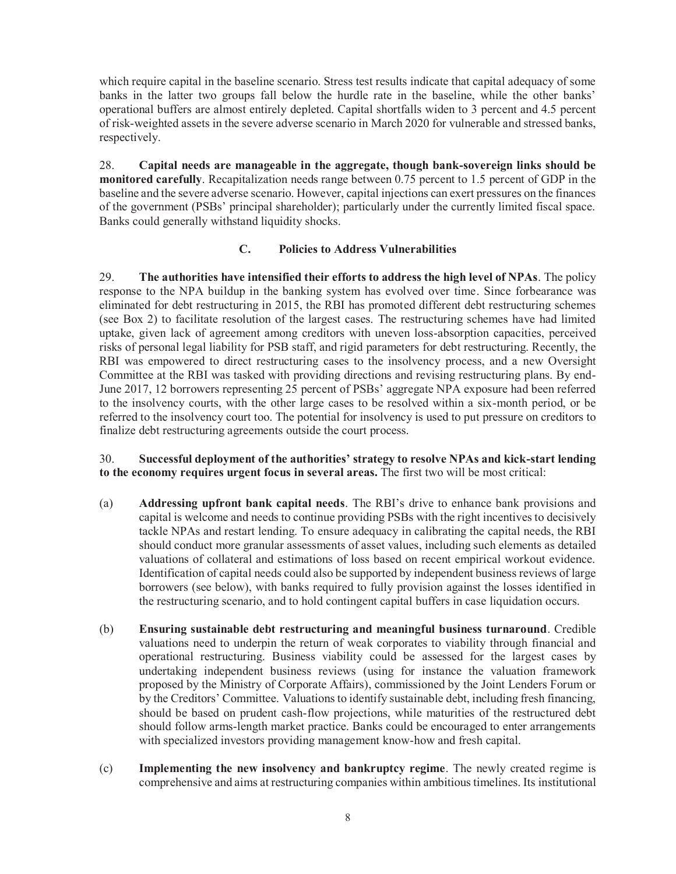which require capital in the baseline scenario. Stress test results indicate that capital adequacy of some banks in the latter two groups fall below the hurdle rate in the baseline, while the other banks' operational buffers are almost entirely depleted. Capital shortfalls widen to 3 percent and 4.5 percent of risk-weighted assets in the severe adverse scenario in March 2020 for vulnerable and stressed banks, respectively.

28. **Capital needs are manageable in the aggregate, though bank-sovereign links should be monitored carefully**. Recapitalization needs range between 0.75 percent to 1.5 percent of GDP in the baseline and the severe adverse scenario. However, capital injections can exert pressures on the finances of the government (PSBs' principal shareholder); particularly under the currently limited fiscal space. Banks could generally withstand liquidity shocks.

#### **C. Policies to Address Vulnerabilities**

29. **The authorities have intensified their efforts to address the high level of NPAs**. The policy response to the NPA buildup in the banking system has evolved over time. Since forbearance was eliminated for debt restructuring in 2015, the RBI has promoted different debt restructuring schemes (see Box 2) to facilitate resolution of the largest cases. The restructuring schemes have had limited uptake, given lack of agreement among creditors with uneven loss-absorption capacities, perceived risks of personal legal liability for PSB staff, and rigid parameters for debt restructuring. Recently, the RBI was empowered to direct restructuring cases to the insolvency process, and a new Oversight Committee at the RBI was tasked with providing directions and revising restructuring plans. By end-June 2017, 12 borrowers representing 25 percent of PSBs' aggregate NPA exposure had been referred to the insolvency courts, with the other large cases to be resolved within a six-month period, or be referred to the insolvency court too. The potential for insolvency is used to put pressure on creditors to finalize debt restructuring agreements outside the court process.

#### 30. **Successful deployment of the authorities' strategy to resolve NPAs and kick-start lending to the economy requires urgent focus in several areas.** The first two will be most critical:

- (a) **Addressing upfront bank capital needs**. The RBI's drive to enhance bank provisions and capital is welcome and needs to continue providing PSBs with the right incentives to decisively tackle NPAs and restart lending. To ensure adequacy in calibrating the capital needs, the RBI should conduct more granular assessments of asset values, including such elements as detailed valuations of collateral and estimations of loss based on recent empirical workout evidence. Identification of capital needs could also be supported by independent business reviews of large borrowers (see below), with banks required to fully provision against the losses identified in the restructuring scenario, and to hold contingent capital buffers in case liquidation occurs.
- (b) **Ensuring sustainable debt restructuring and meaningful business turnaround**. Credible valuations need to underpin the return of weak corporates to viability through financial and operational restructuring. Business viability could be assessed for the largest cases by undertaking independent business reviews (using for instance the valuation framework proposed by the Ministry of Corporate Affairs), commissioned by the Joint Lenders Forum or by the Creditors' Committee. Valuations to identify sustainable debt, including fresh financing, should be based on prudent cash-flow projections, while maturities of the restructured debt should follow arms-length market practice. Banks could be encouraged to enter arrangements with specialized investors providing management know-how and fresh capital.
- (c) **Implementing the new insolvency and bankruptcy regime**. The newly created regime is comprehensive and aims at restructuring companies within ambitious timelines. Its institutional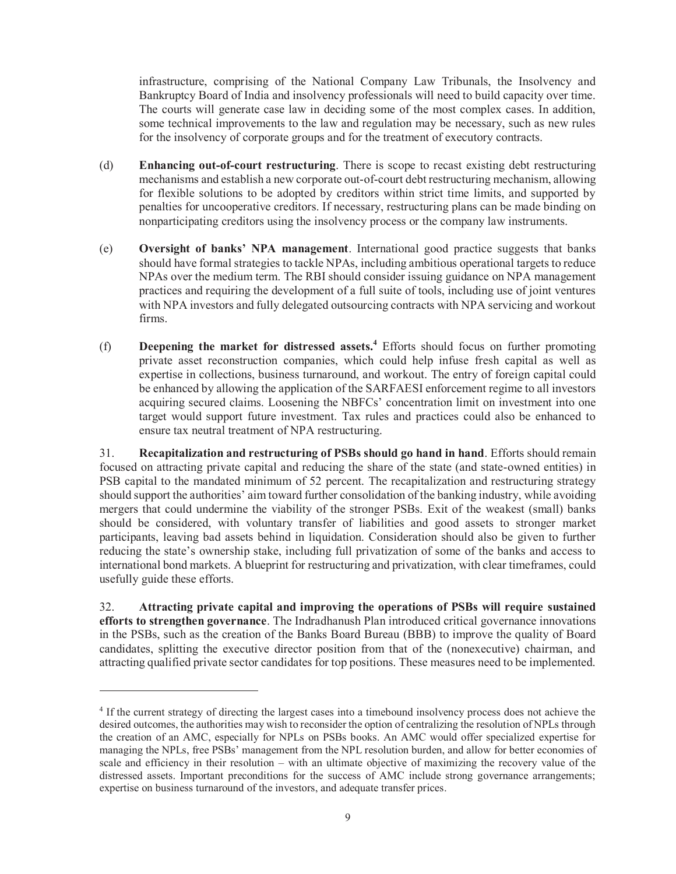infrastructure, comprising of the National Company Law Tribunals, the Insolvency and Bankruptcy Board of India and insolvency professionals will need to build capacity over time. The courts will generate case law in deciding some of the most complex cases. In addition, some technical improvements to the law and regulation may be necessary, such as new rules for the insolvency of corporate groups and for the treatment of executory contracts.

- (d) **Enhancing out-of-court restructuring**. There is scope to recast existing debt restructuring mechanisms and establish a new corporate out-of-court debt restructuring mechanism, allowing for flexible solutions to be adopted by creditors within strict time limits, and supported by penalties for uncooperative creditors. If necessary, restructuring plans can be made binding on nonparticipating creditors using the insolvency process or the company law instruments.
- (e) **Oversight of banks' NPA management**. International good practice suggests that banks should have formal strategies to tackle NPAs, including ambitious operational targets to reduce NPAs over the medium term. The RBI should consider issuing guidance on NPA management practices and requiring the development of a full suite of tools, including use of joint ventures with NPA investors and fully delegated outsourcing contracts with NPA servicing and workout firms.
- (f) **Deepening the market for distressed assets.<sup>4</sup>** Efforts should focus on further promoting private asset reconstruction companies, which could help infuse fresh capital as well as expertise in collections, business turnaround, and workout. The entry of foreign capital could be enhanced by allowing the application of the SARFAESI enforcement regime to all investors acquiring secured claims. Loosening the NBFCs' concentration limit on investment into one target would support future investment. Tax rules and practices could also be enhanced to ensure tax neutral treatment of NPA restructuring.

31. **Recapitalization and restructuring of PSBs should go hand in hand**. Efforts should remain focused on attracting private capital and reducing the share of the state (and state-owned entities) in PSB capital to the mandated minimum of 52 percent. The recapitalization and restructuring strategy should support the authorities' aim toward further consolidation of the banking industry, while avoiding mergers that could undermine the viability of the stronger PSBs. Exit of the weakest (small) banks should be considered, with voluntary transfer of liabilities and good assets to stronger market participants, leaving bad assets behind in liquidation. Consideration should also be given to further reducing the state's ownership stake, including full privatization of some of the banks and access to international bond markets. A blueprint for restructuring and privatization, with clear timeframes, could usefully guide these efforts.

32. **Attracting private capital and improving the operations of PSBs will require sustained efforts to strengthen governance**. The Indradhanush Plan introduced critical governance innovations in the PSBs, such as the creation of the Banks Board Bureau (BBB) to improve the quality of Board candidates, splitting the executive director position from that of the (nonexecutive) chairman, and attracting qualified private sector candidates for top positions. These measures need to be implemented.

 $\overline{a}$ 

<sup>&</sup>lt;sup>4</sup> If the current strategy of directing the largest cases into a timebound insolvency process does not achieve the desired outcomes, the authorities may wish to reconsider the option of centralizing the resolution of NPLs through the creation of an AMC, especially for NPLs on PSBs books. An AMC would offer specialized expertise for managing the NPLs, free PSBs' management from the NPL resolution burden, and allow for better economies of scale and efficiency in their resolution – with an ultimate objective of maximizing the recovery value of the distressed assets. Important preconditions for the success of AMC include strong governance arrangements; expertise on business turnaround of the investors, and adequate transfer prices.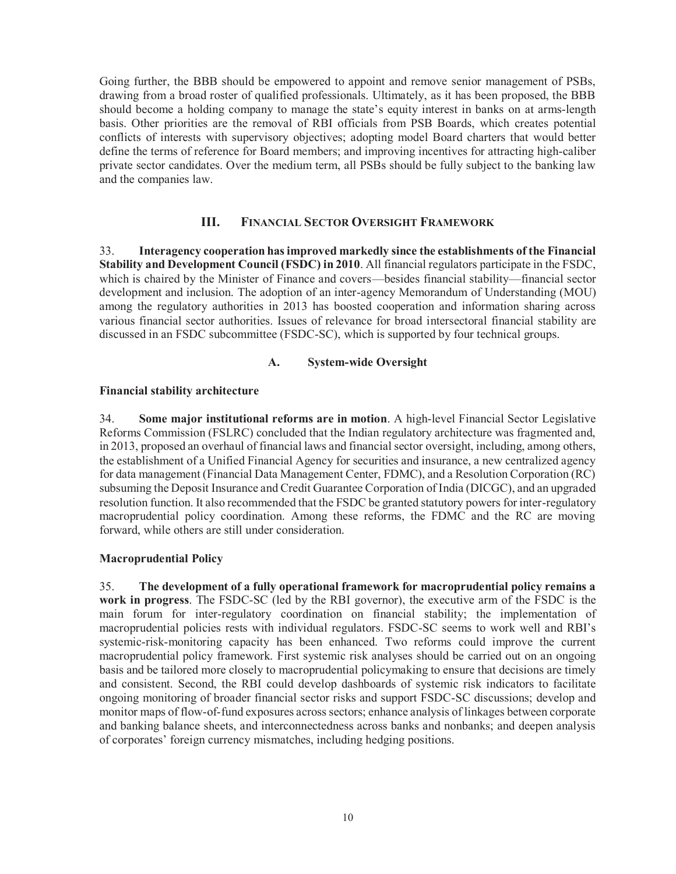Going further, the BBB should be empowered to appoint and remove senior management of PSBs, drawing from a broad roster of qualified professionals. Ultimately, as it has been proposed, the BBB should become a holding company to manage the state's equity interest in banks on at arms-length basis. Other priorities are the removal of RBI officials from PSB Boards, which creates potential conflicts of interests with supervisory objectives; adopting model Board charters that would better define the terms of reference for Board members; and improving incentives for attracting high-caliber private sector candidates. Over the medium term, all PSBs should be fully subject to the banking law and the companies law.

#### **III. FINANCIAL SECTOR OVERSIGHT FRAMEWORK**

33. **Interagency cooperation has improved markedly since the establishments of the Financial Stability and Development Council (FSDC) in 2010**. All financial regulators participate in the FSDC, which is chaired by the Minister of Finance and covers—besides financial stability—financial sector development and inclusion. The adoption of an inter-agency Memorandum of Understanding (MOU) among the regulatory authorities in 2013 has boosted cooperation and information sharing across various financial sector authorities. Issues of relevance for broad intersectoral financial stability are discussed in an FSDC subcommittee (FSDC-SC), which is supported by four technical groups.

#### **A. System-wide Oversight**

#### **Financial stability architecture**

34. **Some major institutional reforms are in motion**. A high-level Financial Sector Legislative Reforms Commission (FSLRC) concluded that the Indian regulatory architecture was fragmented and, in 2013, proposed an overhaul of financial laws and financial sector oversight, including, among others, the establishment of a Unified Financial Agency for securities and insurance, a new centralized agency for data management (Financial Data Management Center, FDMC), and a Resolution Corporation (RC) subsuming the Deposit Insurance and Credit Guarantee Corporation of India (DICGC), and an upgraded resolution function. It also recommended that the FSDC be granted statutory powers for inter-regulatory macroprudential policy coordination. Among these reforms, the FDMC and the RC are moving forward, while others are still under consideration.

#### **Macroprudential Policy**

35. **The development of a fully operational framework for macroprudential policy remains a work in progress**. The FSDC-SC (led by the RBI governor), the executive arm of the FSDC is the main forum for inter-regulatory coordination on financial stability; the implementation of macroprudential policies rests with individual regulators. FSDC-SC seems to work well and RBI's systemic-risk-monitoring capacity has been enhanced. Two reforms could improve the current macroprudential policy framework. First systemic risk analyses should be carried out on an ongoing basis and be tailored more closely to macroprudential policymaking to ensure that decisions are timely and consistent. Second, the RBI could develop dashboards of systemic risk indicators to facilitate ongoing monitoring of broader financial sector risks and support FSDC-SC discussions; develop and monitor maps of flow-of-fund exposures across sectors; enhance analysis of linkages between corporate and banking balance sheets, and interconnectedness across banks and nonbanks; and deepen analysis of corporates' foreign currency mismatches, including hedging positions.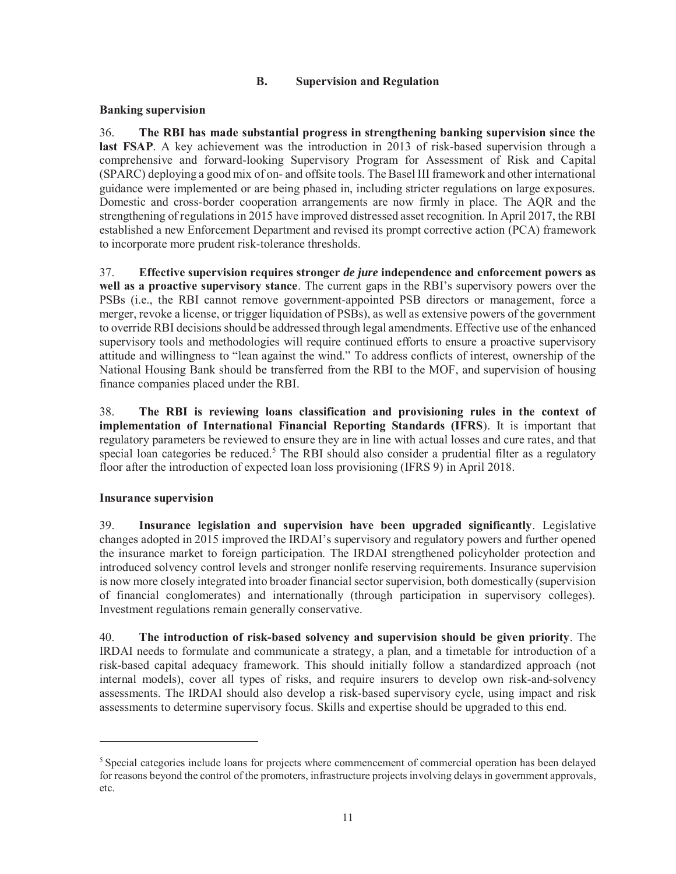#### **B. Supervision and Regulation**

#### **Banking supervision**

36. **The RBI has made substantial progress in strengthening banking supervision since the last FSAP**. A key achievement was the introduction in 2013 of risk-based supervision through a comprehensive and forward-looking Supervisory Program for Assessment of Risk and Capital (SPARC) deploying a good mix of on- and offsite tools. The Basel III framework and other international guidance were implemented or are being phased in, including stricter regulations on large exposures. Domestic and cross-border cooperation arrangements are now firmly in place. The AQR and the strengthening of regulations in 2015 have improved distressed asset recognition. In April 2017, the RBI established a new Enforcement Department and revised its prompt corrective action (PCA) framework to incorporate more prudent risk-tolerance thresholds.

37. **Effective supervision requires stronger** *de jure* **independence and enforcement powers as well as a proactive supervisory stance**. The current gaps in the RBI's supervisory powers over the PSBs (i.e., the RBI cannot remove government-appointed PSB directors or management, force a merger, revoke a license, or trigger liquidation of PSBs), as well as extensive powers of the government to override RBI decisions should be addressed through legal amendments. Effective use of the enhanced supervisory tools and methodologies will require continued efforts to ensure a proactive supervisory attitude and willingness to "lean against the wind." To address conflicts of interest, ownership of the National Housing Bank should be transferred from the RBI to the MOF, and supervision of housing finance companies placed under the RBI.

38. **The RBI is reviewing loans classification and provisioning rules in the context of implementation of International Financial Reporting Standards (IFRS**). It is important that regulatory parameters be reviewed to ensure they are in line with actual losses and cure rates, and that special loan categories be reduced.<sup>5</sup> The RBI should also consider a prudential filter as a regulatory floor after the introduction of expected loan loss provisioning (IFRS 9) in April 2018.

#### **Insurance supervision**

 $\overline{a}$ 

39. **Insurance legislation and supervision have been upgraded significantly**. Legislative changes adopted in 2015 improved the IRDAI's supervisory and regulatory powers and further opened the insurance market to foreign participation. The IRDAI strengthened policyholder protection and introduced solvency control levels and stronger nonlife reserving requirements. Insurance supervision is now more closely integrated into broader financial sector supervision, both domestically (supervision of financial conglomerates) and internationally (through participation in supervisory colleges). Investment regulations remain generally conservative.

40. **The introduction of risk-based solvency and supervision should be given priority**. The IRDAI needs to formulate and communicate a strategy, a plan, and a timetable for introduction of a risk-based capital adequacy framework. This should initially follow a standardized approach (not internal models), cover all types of risks, and require insurers to develop own risk-and-solvency assessments. The IRDAI should also develop a risk-based supervisory cycle, using impact and risk assessments to determine supervisory focus. Skills and expertise should be upgraded to this end.

<sup>&</sup>lt;sup>5</sup> Special categories include loans for projects where commencement of commercial operation has been delayed for reasons beyond the control of the promoters, infrastructure projects involving delays in government approvals, etc.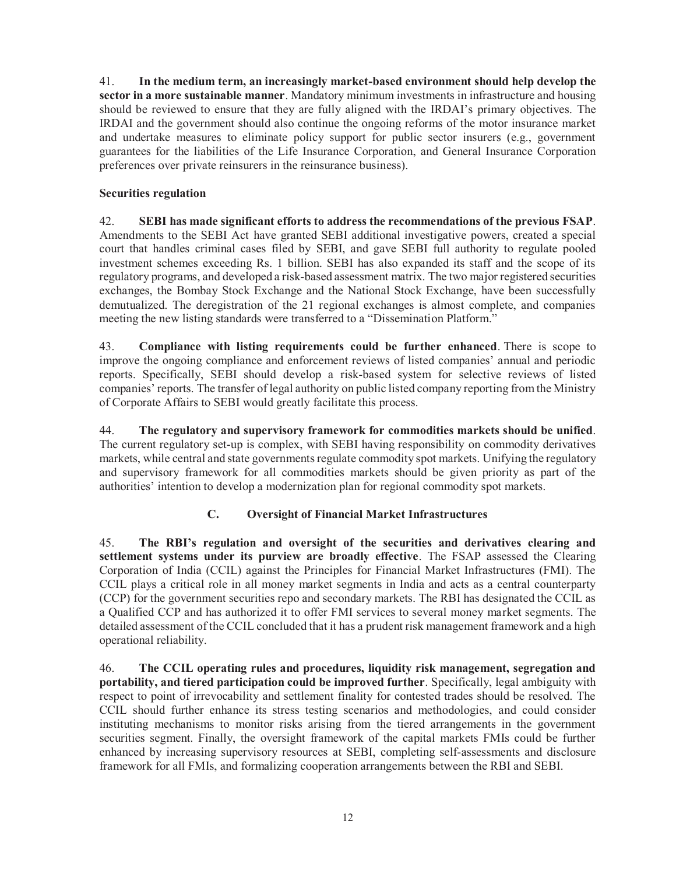41. **In the medium term, an increasingly market-based environment should help develop the sector in a more sustainable manner**. Mandatory minimum investments in infrastructure and housing should be reviewed to ensure that they are fully aligned with the IRDAI's primary objectives. The IRDAI and the government should also continue the ongoing reforms of the motor insurance market and undertake measures to eliminate policy support for public sector insurers (e.g., government guarantees for the liabilities of the Life Insurance Corporation, and General Insurance Corporation preferences over private reinsurers in the reinsurance business).

#### **Securities regulation**

42. **SEBI has made significant efforts to address the recommendations of the previous FSAP**. Amendments to the SEBI Act have granted SEBI additional investigative powers, created a special court that handles criminal cases filed by SEBI, and gave SEBI full authority to regulate pooled investment schemes exceeding Rs. 1 billion. SEBI has also expanded its staff and the scope of its regulatory programs, and developed a risk-based assessment matrix. The two major registered securities exchanges, the Bombay Stock Exchange and the National Stock Exchange, have been successfully demutualized. The deregistration of the 21 regional exchanges is almost complete, and companies meeting the new listing standards were transferred to a "Dissemination Platform."

43. **Compliance with listing requirements could be further enhanced**. There is scope to improve the ongoing compliance and enforcement reviews of listed companies' annual and periodic reports. Specifically, SEBI should develop a risk-based system for selective reviews of listed companies' reports. The transfer of legal authority on public listed company reporting from the Ministry of Corporate Affairs to SEBI would greatly facilitate this process.

44. **The regulatory and supervisory framework for commodities markets should be unified**. The current regulatory set-up is complex, with SEBI having responsibility on commodity derivatives markets, while central and state governments regulate commodity spot markets. Unifying the regulatory and supervisory framework for all commodities markets should be given priority as part of the authorities' intention to develop a modernization plan for regional commodity spot markets.

#### **C. Oversight of Financial Market Infrastructures**

45. **The RBI's regulation and oversight of the securities and derivatives clearing and settlement systems under its purview are broadly effective**. The FSAP assessed the Clearing Corporation of India (CCIL) against the Principles for Financial Market Infrastructures (FMI). The CCIL plays a critical role in all money market segments in India and acts as a central counterparty (CCP) for the government securities repo and secondary markets. The RBI has designated the CCIL as a Qualified CCP and has authorized it to offer FMI services to several money market segments. The detailed assessment of the CCIL concluded that it has a prudent risk management framework and a high operational reliability.

46. **The CCIL operating rules and procedures, liquidity risk management, segregation and portability, and tiered participation could be improved further**. Specifically, legal ambiguity with respect to point of irrevocability and settlement finality for contested trades should be resolved. The CCIL should further enhance its stress testing scenarios and methodologies, and could consider instituting mechanisms to monitor risks arising from the tiered arrangements in the government securities segment. Finally, the oversight framework of the capital markets FMIs could be further enhanced by increasing supervisory resources at SEBI, completing self-assessments and disclosure framework for all FMIs, and formalizing cooperation arrangements between the RBI and SEBI.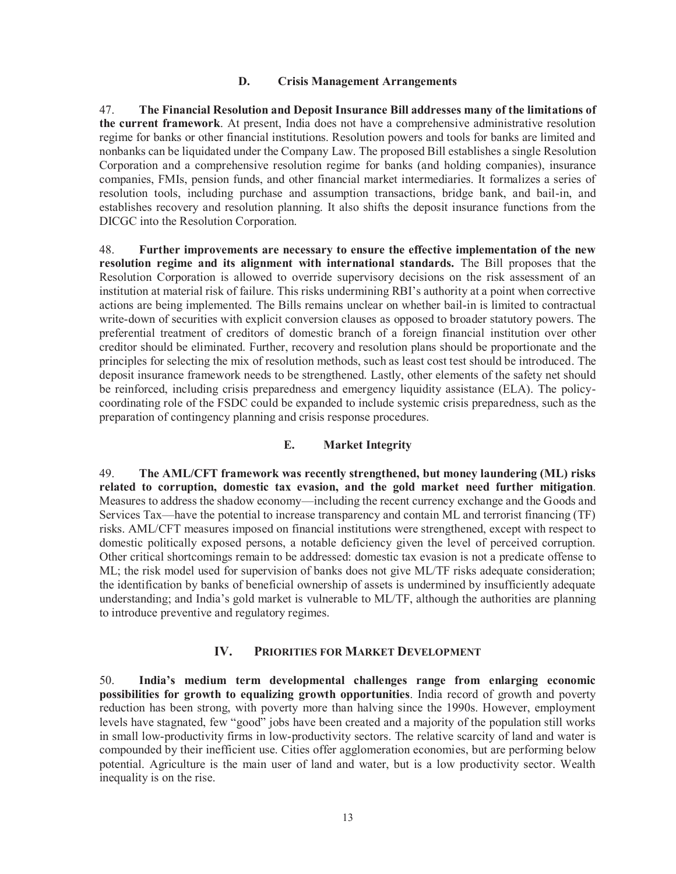#### **D. Crisis Management Arrangements**

47. **The Financial Resolution and Deposit Insurance Bill addresses many of the limitations of the current framework**. At present, India does not have a comprehensive administrative resolution regime for banks or other financial institutions. Resolution powers and tools for banks are limited and nonbanks can be liquidated under the Company Law. The proposed Bill establishes a single Resolution Corporation and a comprehensive resolution regime for banks (and holding companies), insurance companies, FMIs, pension funds, and other financial market intermediaries. It formalizes a series of resolution tools, including purchase and assumption transactions, bridge bank, and bail-in, and establishes recovery and resolution planning. It also shifts the deposit insurance functions from the DICGC into the Resolution Corporation.

48. **Further improvements are necessary to ensure the effective implementation of the new resolution regime and its alignment with international standards.** The Bill proposes that the Resolution Corporation is allowed to override supervisory decisions on the risk assessment of an institution at material risk of failure. This risks undermining RBI's authority at a point when corrective actions are being implemented. The Bills remains unclear on whether bail-in is limited to contractual write-down of securities with explicit conversion clauses as opposed to broader statutory powers. The preferential treatment of creditors of domestic branch of a foreign financial institution over other creditor should be eliminated. Further, recovery and resolution plans should be proportionate and the principles for selecting the mix of resolution methods, such as least cost test should be introduced. The deposit insurance framework needs to be strengthened. Lastly, other elements of the safety net should be reinforced, including crisis preparedness and emergency liquidity assistance (ELA). The policycoordinating role of the FSDC could be expanded to include systemic crisis preparedness, such as the preparation of contingency planning and crisis response procedures.

#### **E. Market Integrity**

49. **The AML/CFT framework was recently strengthened, but money laundering (ML) risks related to corruption, domestic tax evasion, and the gold market need further mitigation**. Measures to address the shadow economy—including the recent currency exchange and the Goods and Services Tax—have the potential to increase transparency and contain ML and terrorist financing (TF) risks. AML/CFT measures imposed on financial institutions were strengthened, except with respect to domestic politically exposed persons, a notable deficiency given the level of perceived corruption. Other critical shortcomings remain to be addressed: domestic tax evasion is not a predicate offense to ML; the risk model used for supervision of banks does not give ML/TF risks adequate consideration; the identification by banks of beneficial ownership of assets is undermined by insufficiently adequate understanding; and India's gold market is vulnerable to ML/TF, although the authorities are planning to introduce preventive and regulatory regimes.

#### **IV. PRIORITIES FOR MARKET DEVELOPMENT**

50. **India's medium term developmental challenges range from enlarging economic possibilities for growth to equalizing growth opportunities**. India record of growth and poverty reduction has been strong, with poverty more than halving since the 1990s. However, employment levels have stagnated, few "good" jobs have been created and a majority of the population still works in small low-productivity firms in low-productivity sectors. The relative scarcity of land and water is compounded by their inefficient use. Cities offer agglomeration economies, but are performing below potential. Agriculture is the main user of land and water, but is a low productivity sector. Wealth inequality is on the rise.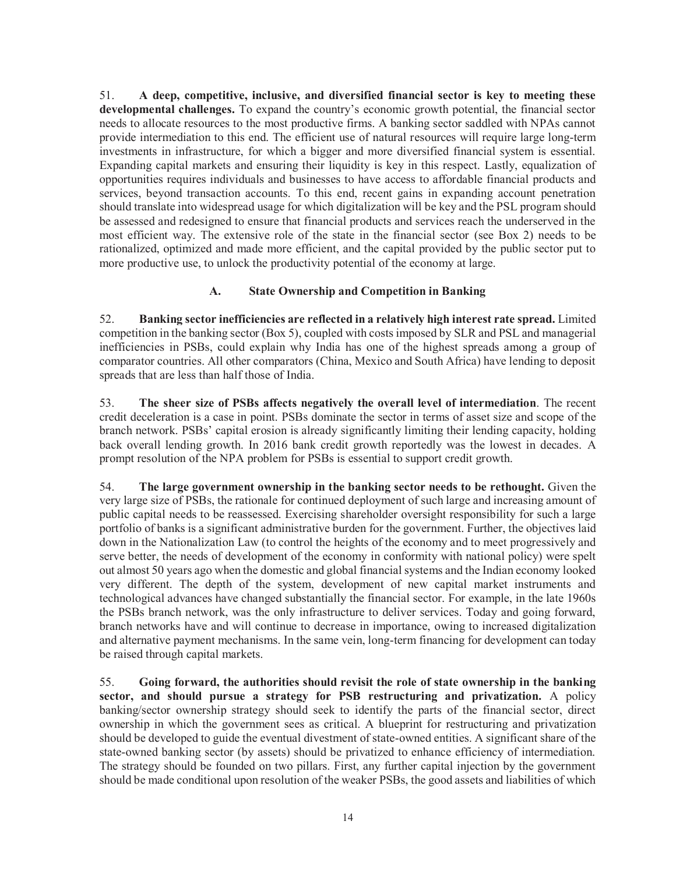51. **A deep, competitive, inclusive, and diversified financial sector is key to meeting these developmental challenges.** To expand the country's economic growth potential, the financial sector needs to allocate resources to the most productive firms. A banking sector saddled with NPAs cannot provide intermediation to this end. The efficient use of natural resources will require large long-term investments in infrastructure, for which a bigger and more diversified financial system is essential. Expanding capital markets and ensuring their liquidity is key in this respect. Lastly, equalization of opportunities requires individuals and businesses to have access to affordable financial products and services, beyond transaction accounts. To this end, recent gains in expanding account penetration should translate into widespread usage for which digitalization will be key and the PSL program should be assessed and redesigned to ensure that financial products and services reach the underserved in the most efficient way. The extensive role of the state in the financial sector (see Box 2) needs to be rationalized, optimized and made more efficient, and the capital provided by the public sector put to more productive use, to unlock the productivity potential of the economy at large.

#### **A. State Ownership and Competition in Banking**

52. **Banking sector inefficiencies are reflected in a relatively high interest rate spread.** Limited competition in the banking sector (Box 5), coupled with costs imposed by SLR and PSL and managerial inefficiencies in PSBs, could explain why India has one of the highest spreads among a group of comparator countries. All other comparators (China, Mexico and South Africa) have lending to deposit spreads that are less than half those of India.

53. **The sheer size of PSBs affects negatively the overall level of intermediation**. The recent credit deceleration is a case in point. PSBs dominate the sector in terms of asset size and scope of the branch network. PSBs' capital erosion is already significantly limiting their lending capacity, holding back overall lending growth. In 2016 bank credit growth reportedly was the lowest in decades. A prompt resolution of the NPA problem for PSBs is essential to support credit growth.

54. **The large government ownership in the banking sector needs to be rethought.** Given the very large size of PSBs, the rationale for continued deployment of such large and increasing amount of public capital needs to be reassessed. Exercising shareholder oversight responsibility for such a large portfolio of banks is a significant administrative burden for the government. Further, the objectives laid down in the Nationalization Law (to control the heights of the economy and to meet progressively and serve better, the needs of development of the economy in conformity with national policy) were spelt out almost 50 years ago when the domestic and global financial systems and the Indian economy looked very different. The depth of the system, development of new capital market instruments and technological advances have changed substantially the financial sector. For example, in the late 1960s the PSBs branch network, was the only infrastructure to deliver services. Today and going forward, branch networks have and will continue to decrease in importance, owing to increased digitalization and alternative payment mechanisms. In the same vein, long-term financing for development can today be raised through capital markets.

55. **Going forward, the authorities should revisit the role of state ownership in the banking sector, and should pursue a strategy for PSB restructuring and privatization.** A policy banking/sector ownership strategy should seek to identify the parts of the financial sector, direct ownership in which the government sees as critical. A blueprint for restructuring and privatization should be developed to guide the eventual divestment of state-owned entities. A significant share of the state-owned banking sector (by assets) should be privatized to enhance efficiency of intermediation. The strategy should be founded on two pillars. First, any further capital injection by the government should be made conditional upon resolution of the weaker PSBs, the good assets and liabilities of which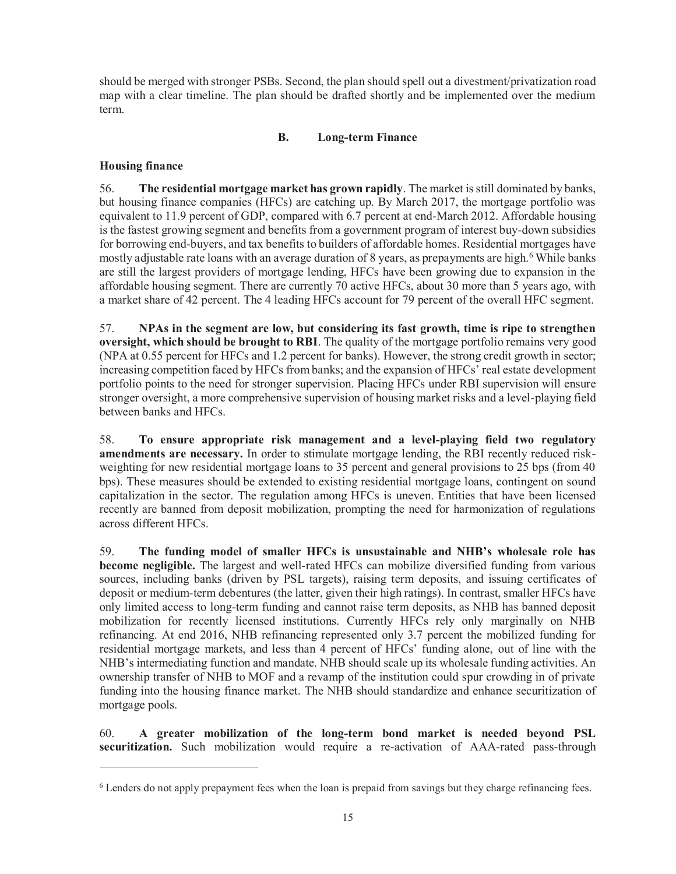should be merged with stronger PSBs. Second, the plan should spell out a divestment/privatization road map with a clear timeline. The plan should be drafted shortly and be implemented over the medium term.

#### **B. Long-term Finance**

#### **Housing finance**

 $\overline{a}$ 

56. **The residential mortgage market has grown rapidly**. The market is still dominated by banks, but housing finance companies (HFCs) are catching up. By March 2017, the mortgage portfolio was equivalent to 11.9 percent of GDP, compared with 6.7 percent at end-March 2012. Affordable housing is the fastest growing segment and benefits from a government program of interest buy-down subsidies for borrowing end-buyers, and tax benefits to builders of affordable homes. Residential mortgages have mostly adjustable rate loans with an average duration of 8 years, as prepayments are high.<sup>6</sup> While banks are still the largest providers of mortgage lending, HFCs have been growing due to expansion in the affordable housing segment. There are currently 70 active HFCs, about 30 more than 5 years ago, with a market share of 42 percent. The 4 leading HFCs account for 79 percent of the overall HFC segment.

57. **NPAs in the segment are low, but considering its fast growth, time is ripe to strengthen oversight, which should be brought to RBI**. The quality of the mortgage portfolio remains very good (NPA at 0.55 percent for HFCs and 1.2 percent for banks). However, the strong credit growth in sector; increasing competition faced by HFCs from banks; and the expansion of HFCs' real estate development portfolio points to the need for stronger supervision. Placing HFCs under RBI supervision will ensure stronger oversight, a more comprehensive supervision of housing market risks and a level-playing field between banks and HFCs.

58. **To ensure appropriate risk management and a level-playing field two regulatory amendments are necessary.** In order to stimulate mortgage lending, the RBI recently reduced riskweighting for new residential mortgage loans to 35 percent and general provisions to 25 bps (from 40 bps). These measures should be extended to existing residential mortgage loans, contingent on sound capitalization in the sector. The regulation among HFCs is uneven. Entities that have been licensed recently are banned from deposit mobilization, prompting the need for harmonization of regulations across different HFCs.

59. **The funding model of smaller HFCs is unsustainable and NHB's wholesale role has become negligible.** The largest and well-rated HFCs can mobilize diversified funding from various sources, including banks (driven by PSL targets), raising term deposits, and issuing certificates of deposit or medium-term debentures (the latter, given their high ratings). In contrast, smaller HFCs have only limited access to long-term funding and cannot raise term deposits, as NHB has banned deposit mobilization for recently licensed institutions. Currently HFCs rely only marginally on NHB refinancing. At end 2016, NHB refinancing represented only 3.7 percent the mobilized funding for residential mortgage markets, and less than 4 percent of HFCs' funding alone, out of line with the NHB's intermediating function and mandate. NHB should scale up its wholesale funding activities. An ownership transfer of NHB to MOF and a revamp of the institution could spur crowding in of private funding into the housing finance market. The NHB should standardize and enhance securitization of mortgage pools.

60. **A greater mobilization of the long-term bond market is needed beyond PSL securitization.** Such mobilization would require a re-activation of AAA-rated pass-through

<sup>&</sup>lt;sup>6</sup> Lenders do not apply prepayment fees when the loan is prepaid from savings but they charge refinancing fees.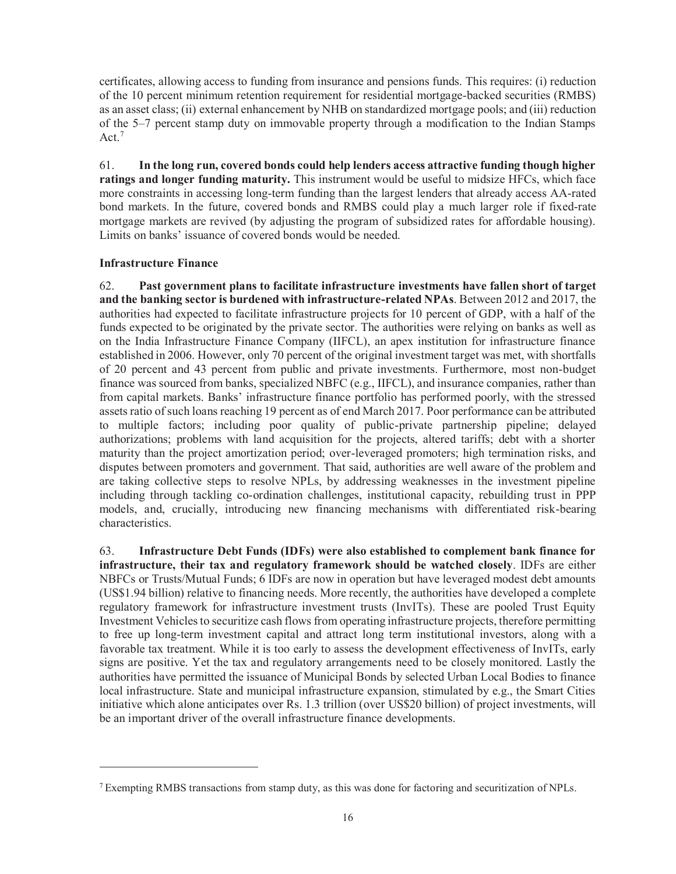certificates, allowing access to funding from insurance and pensions funds. This requires: (i) reduction of the 10 percent minimum retention requirement for residential mortgage-backed securities (RMBS) as an asset class; (ii) external enhancement by NHB on standardized mortgage pools; and (iii) reduction of the 5–7 percent stamp duty on immovable property through a modification to the Indian Stamps Act<sup>7</sup>

61. **In the long run, covered bonds could help lenders access attractive funding though higher ratings and longer funding maturity.** This instrument would be useful to midsize HFCs, which face more constraints in accessing long-term funding than the largest lenders that already access AA-rated bond markets. In the future, covered bonds and RMBS could play a much larger role if fixed-rate mortgage markets are revived (by adjusting the program of subsidized rates for affordable housing). Limits on banks' issuance of covered bonds would be needed.

#### **Infrastructure Finance**

 $\overline{a}$ 

62. **Past government plans to facilitate infrastructure investments have fallen short of target and the banking sector is burdened with infrastructure-related NPAs**. Between 2012 and 2017, the authorities had expected to facilitate infrastructure projects for 10 percent of GDP, with a half of the funds expected to be originated by the private sector. The authorities were relying on banks as well as on the India Infrastructure Finance Company (IIFCL), an apex institution for infrastructure finance established in 2006. However, only 70 percent of the original investment target was met, with shortfalls of 20 percent and 43 percent from public and private investments. Furthermore, most non-budget finance was sourced from banks, specialized NBFC (e.g., IIFCL), and insurance companies, rather than from capital markets. Banks' infrastructure finance portfolio has performed poorly, with the stressed assets ratio of such loans reaching 19 percent as of end March 2017. Poor performance can be attributed to multiple factors; including poor quality of public-private partnership pipeline; delayed authorizations; problems with land acquisition for the projects, altered tariffs; debt with a shorter maturity than the project amortization period; over-leveraged promoters; high termination risks, and disputes between promoters and government. That said, authorities are well aware of the problem and are taking collective steps to resolve NPLs, by addressing weaknesses in the investment pipeline including through tackling co-ordination challenges, institutional capacity, rebuilding trust in PPP models, and, crucially, introducing new financing mechanisms with differentiated risk-bearing characteristics.

63. **Infrastructure Debt Funds (IDFs) were also established to complement bank finance for infrastructure, their tax and regulatory framework should be watched closely**. IDFs are either NBFCs or Trusts/Mutual Funds; 6 IDFs are now in operation but have leveraged modest debt amounts (US\$1.94 billion) relative to financing needs. More recently, the authorities have developed a complete regulatory framework for infrastructure investment trusts (InvITs). These are pooled Trust Equity Investment Vehicles to securitize cash flows from operating infrastructure projects, therefore permitting to free up long-term investment capital and attract long term institutional investors, along with a favorable tax treatment. While it is too early to assess the development effectiveness of InvITs, early signs are positive. Yet the tax and regulatory arrangements need to be closely monitored. Lastly the authorities have permitted the issuance of Municipal Bonds by selected Urban Local Bodies to finance local infrastructure. State and municipal infrastructure expansion, stimulated by e.g., the Smart Cities initiative which alone anticipates over Rs. 1.3 trillion (over US\$20 billion) of project investments, will be an important driver of the overall infrastructure finance developments.

<sup>7</sup> Exempting RMBS transactions from stamp duty, as this was done for factoring and securitization of NPLs.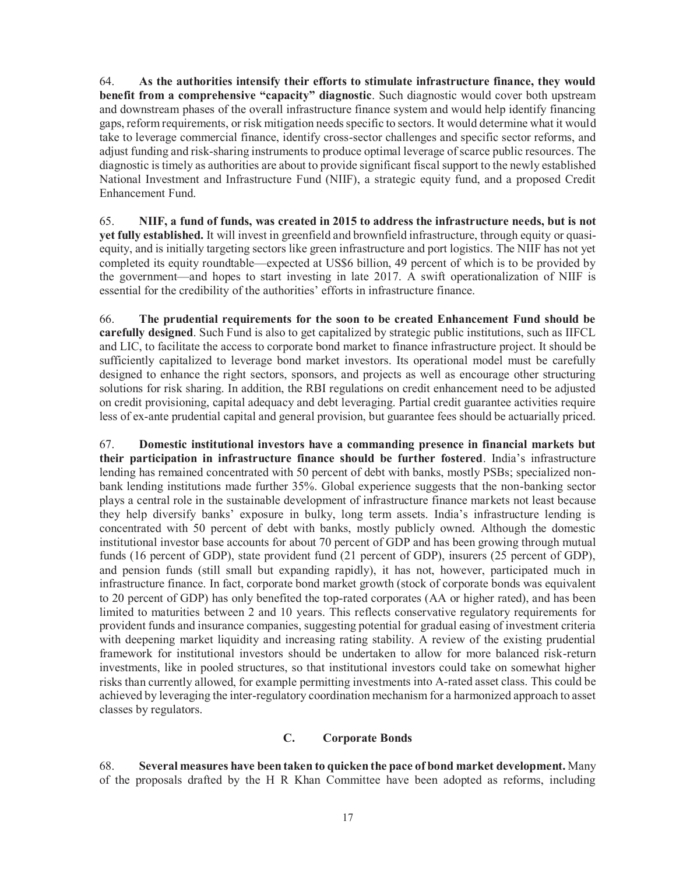64. **As the authorities intensify their efforts to stimulate infrastructure finance, they would benefit from a comprehensive "capacity" diagnostic**. Such diagnostic would cover both upstream and downstream phases of the overall infrastructure finance system and would help identify financing gaps, reform requirements, or risk mitigation needs specific to sectors. It would determine what it would take to leverage commercial finance, identify cross-sector challenges and specific sector reforms, and adjust funding and risk-sharing instruments to produce optimal leverage of scarce public resources. The diagnostic is timely as authorities are about to provide significant fiscal support to the newly established National Investment and Infrastructure Fund (NIIF), a strategic equity fund, and a proposed Credit Enhancement Fund.

65. **NIIF, a fund of funds, was created in 2015 to address the infrastructure needs, but is not yet fully established.** It will invest in greenfield and brownfield infrastructure, through equity or quasiequity, and is initially targeting sectors like green infrastructure and port logistics. The NIIF has not yet completed its equity roundtable—expected at US\$6 billion, 49 percent of which is to be provided by the government—and hopes to start investing in late 2017. A swift operationalization of NIIF is essential for the credibility of the authorities' efforts in infrastructure finance.

66. **The prudential requirements for the soon to be created Enhancement Fund should be carefully designed**. Such Fund is also to get capitalized by strategic public institutions, such as IIFCL and LIC, to facilitate the access to corporate bond market to finance infrastructure project. It should be sufficiently capitalized to leverage bond market investors. Its operational model must be carefully designed to enhance the right sectors, sponsors, and projects as well as encourage other structuring solutions for risk sharing. In addition, the RBI regulations on credit enhancement need to be adjusted on credit provisioning, capital adequacy and debt leveraging. Partial credit guarantee activities require less of ex-ante prudential capital and general provision, but guarantee fees should be actuarially priced.

67. **Domestic institutional investors have a commanding presence in financial markets but their participation in infrastructure finance should be further fostered**. India's infrastructure lending has remained concentrated with 50 percent of debt with banks, mostly PSBs; specialized nonbank lending institutions made further 35%. Global experience suggests that the non-banking sector plays a central role in the sustainable development of infrastructure finance markets not least because they help diversify banks' exposure in bulky, long term assets. India's infrastructure lending is concentrated with 50 percent of debt with banks, mostly publicly owned. Although the domestic institutional investor base accounts for about 70 percent of GDP and has been growing through mutual funds (16 percent of GDP), state provident fund (21 percent of GDP), insurers (25 percent of GDP), and pension funds (still small but expanding rapidly), it has not, however, participated much in infrastructure finance. In fact, corporate bond market growth (stock of corporate bonds was equivalent to 20 percent of GDP) has only benefited the top-rated corporates (AA or higher rated), and has been limited to maturities between 2 and 10 years. This reflects conservative regulatory requirements for provident funds and insurance companies, suggesting potential for gradual easing of investment criteria with deepening market liquidity and increasing rating stability. A review of the existing prudential framework for institutional investors should be undertaken to allow for more balanced risk-return investments, like in pooled structures, so that institutional investors could take on somewhat higher risks than currently allowed, for example permitting investments into A-rated asset class. This could be achieved by leveraging the inter-regulatory coordination mechanism for a harmonized approach to asset classes by regulators.

#### **C. Corporate Bonds**

68. **Several measures have been taken to quicken the pace of bond market development.** Many of the proposals drafted by the H R Khan Committee have been adopted as reforms, including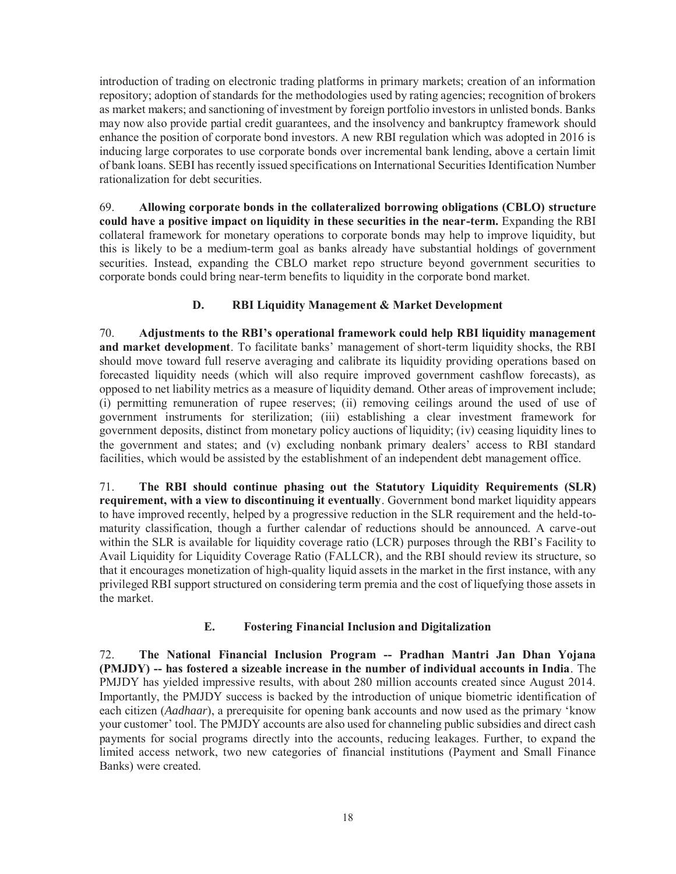introduction of trading on electronic trading platforms in primary markets; creation of an information repository; adoption of standards for the methodologies used by rating agencies; recognition of brokers as market makers; and sanctioning of investment by foreign portfolio investors in unlisted bonds. Banks may now also provide partial credit guarantees, and the insolvency and bankruptcy framework should enhance the position of corporate bond investors. A new RBI regulation which was adopted in 2016 is inducing large corporates to use corporate bonds over incremental bank lending, above a certain limit of bank loans. SEBI has recently issued specifications on International Securities Identification Number rationalization for debt securities.

69. **Allowing corporate bonds in the collateralized borrowing obligations (CBLO) structure could have a positive impact on liquidity in these securities in the near-term.** Expanding the RBI collateral framework for monetary operations to corporate bonds may help to improve liquidity, but this is likely to be a medium-term goal as banks already have substantial holdings of government securities. Instead, expanding the CBLO market repo structure beyond government securities to corporate bonds could bring near-term benefits to liquidity in the corporate bond market.

#### **D. RBI Liquidity Management & Market Development**

70. **Adjustments to the RBI's operational framework could help RBI liquidity management and market development**. To facilitate banks' management of short-term liquidity shocks, the RBI should move toward full reserve averaging and calibrate its liquidity providing operations based on forecasted liquidity needs (which will also require improved government cashflow forecasts), as opposed to net liability metrics as a measure of liquidity demand. Other areas of improvement include; (i) permitting remuneration of rupee reserves; (ii) removing ceilings around the used of use of government instruments for sterilization; (iii) establishing a clear investment framework for government deposits, distinct from monetary policy auctions of liquidity; (iv) ceasing liquidity lines to the government and states; and (v) excluding nonbank primary dealers' access to RBI standard facilities, which would be assisted by the establishment of an independent debt management office.

71. **The RBI should continue phasing out the Statutory Liquidity Requirements (SLR) requirement, with a view to discontinuing it eventually**. Government bond market liquidity appears to have improved recently, helped by a progressive reduction in the SLR requirement and the held-tomaturity classification, though a further calendar of reductions should be announced. A carve-out within the SLR is available for liquidity coverage ratio (LCR) purposes through the RBI's Facility to Avail Liquidity for Liquidity Coverage Ratio (FALLCR), and the RBI should review its structure, so that it encourages monetization of high-quality liquid assets in the market in the first instance, with any privileged RBI support structured on considering term premia and the cost of liquefying those assets in the market.

#### **E. Fostering Financial Inclusion and Digitalization**

72. **The National Financial Inclusion Program -- Pradhan Mantri Jan Dhan Yojana (PMJDY) -- has fostered a sizeable increase in the number of individual accounts in India**. The PMJDY has yielded impressive results, with about 280 million accounts created since August 2014. Importantly, the PMJDY success is backed by the introduction of unique biometric identification of each citizen (*Aadhaar*), a prerequisite for opening bank accounts and now used as the primary 'know your customer' tool. The PMJDY accounts are also used for channeling public subsidies and direct cash payments for social programs directly into the accounts, reducing leakages. Further, to expand the limited access network, two new categories of financial institutions (Payment and Small Finance Banks) were created.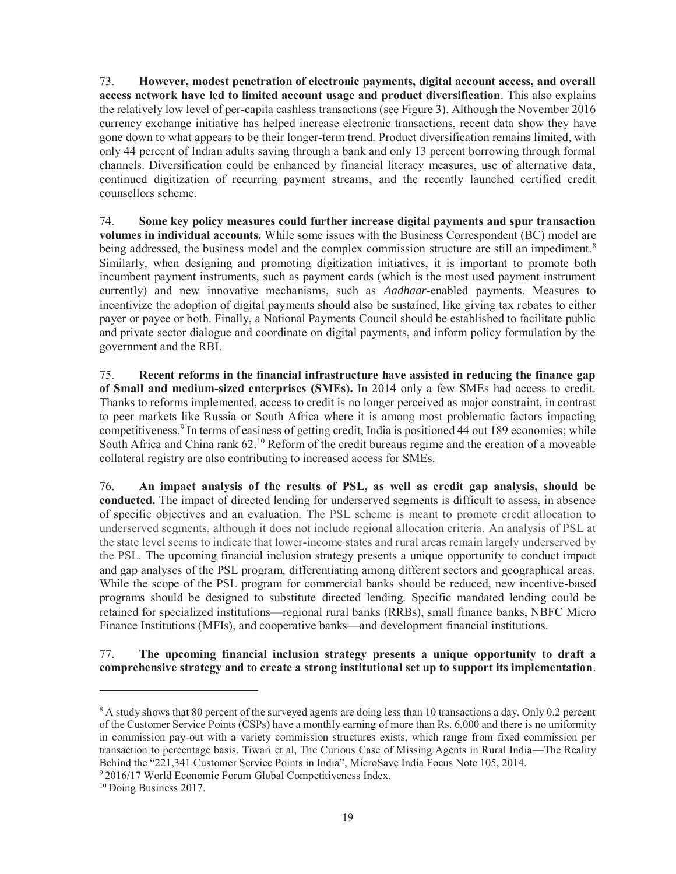73. **However, modest penetration of electronic payments, digital account access, and overall access network have led to limited account usage and product diversification**. This also explains the relatively low level of per-capita cashless transactions (see Figure 3). Although the November 2016 currency exchange initiative has helped increase electronic transactions, recent data show they have gone down to what appears to be their longer-term trend. Product diversification remains limited, with only 44 percent of Indian adults saving through a bank and only 13 percent borrowing through formal channels. Diversification could be enhanced by financial literacy measures, use of alternative data, continued digitization of recurring payment streams, and the recently launched certified credit counsellors scheme.

74. **Some key policy measures could further increase digital payments and spur transaction volumes in individual accounts.** While some issues with the Business Correspondent (BC) model are being addressed, the business model and the complex commission structure are still an impediment.<sup>8</sup> Similarly, when designing and promoting digitization initiatives, it is important to promote both incumbent payment instruments, such as payment cards (which is the most used payment instrument currently) and new innovative mechanisms, such as *Aadhaar*-enabled payments. Measures to incentivize the adoption of digital payments should also be sustained, like giving tax rebates to either payer or payee or both. Finally, a National Payments Council should be established to facilitate public and private sector dialogue and coordinate on digital payments, and inform policy formulation by the government and the RBI.

75. **Recent reforms in the financial infrastructure have assisted in reducing the finance gap of Small and medium-sized enterprises (SMEs).** In 2014 only a few SMEs had access to credit. Thanks to reforms implemented, access to credit is no longer perceived as major constraint, in contrast to peer markets like Russia or South Africa where it is among most problematic factors impacting competitiveness.<sup>9</sup> In terms of easiness of getting credit, India is positioned 44 out 189 economies; while South Africa and China rank 62.<sup>10</sup> Reform of the credit bureaus regime and the creation of a moveable collateral registry are also contributing to increased access for SMEs.

76. **An impact analysis of the results of PSL, as well as credit gap analysis, should be conducted.** The impact of directed lending for underserved segments is difficult to assess, in absence of specific objectives and an evaluation. The PSL scheme is meant to promote credit allocation to underserved segments, although it does not include regional allocation criteria. An analysis of PSL at the state level seems to indicate that lower-income states and rural areas remain largely underserved by the PSL. The upcoming financial inclusion strategy presents a unique opportunity to conduct impact and gap analyses of the PSL program, differentiating among different sectors and geographical areas. While the scope of the PSL program for commercial banks should be reduced, new incentive-based programs should be designed to substitute directed lending. Specific mandated lending could be retained for specialized institutions—regional rural banks (RRBs), small finance banks, NBFC Micro Finance Institutions (MFIs), and cooperative banks—and development financial institutions.

77. **The upcoming financial inclusion strategy presents a unique opportunity to draft a comprehensive strategy and to create a strong institutional set up to support its implementation**.

 $\overline{a}$ 

<sup>&</sup>lt;sup>8</sup> A study shows that 80 percent of the surveyed agents are doing less than 10 transactions a day. Only 0.2 percent of the Customer Service Points (CSPs) have a monthly earning of more than Rs. 6,000 and there is no uniformity in commission pay-out with a variety commission structures exists, which range from fixed commission per transaction to percentage basis. Tiwari et al, The Curious Case of Missing Agents in Rural India—The Reality Behind the "221,341 Customer Service Points in India", MicroSave India Focus Note 105, 2014.

<sup>&</sup>lt;sup>9</sup> 2016/17 World Economic Forum Global Competitiveness Index.

<sup>10</sup> Doing Business 2017.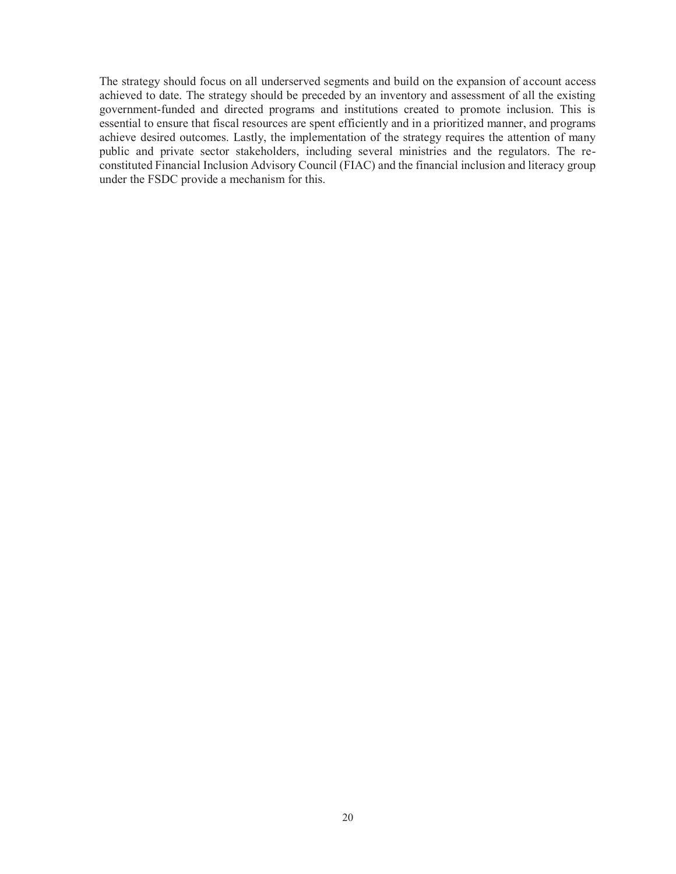The strategy should focus on all underserved segments and build on the expansion of account access achieved to date. The strategy should be preceded by an inventory and assessment of all the existing government-funded and directed programs and institutions created to promote inclusion. This is essential to ensure that fiscal resources are spent efficiently and in a prioritized manner, and programs achieve desired outcomes. Lastly, the implementation of the strategy requires the attention of many public and private sector stakeholders, including several ministries and the regulators. The reconstituted Financial Inclusion Advisory Council (FIAC) and the financial inclusion and literacy group under the FSDC provide a mechanism for this.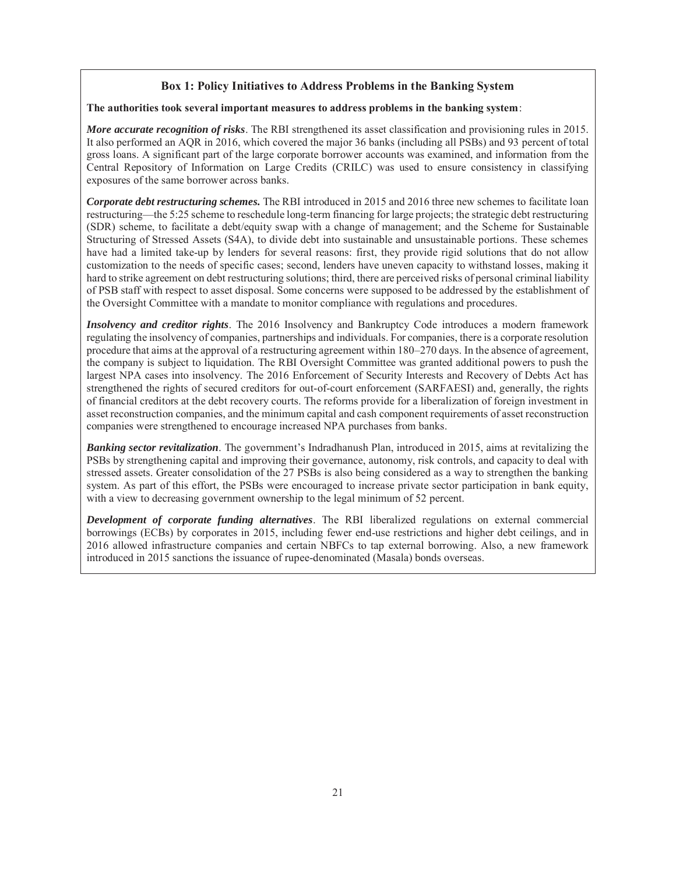#### **Box 1: Policy Initiatives to Address Problems in the Banking System**

#### **The authorities took several important measures to address problems in the banking system**:

*More accurate recognition of risks*. The RBI strengthened its asset classification and provisioning rules in 2015. It also performed an AQR in 2016, which covered the major 36 banks (including all PSBs) and 93 percent of total gross loans. A significant part of the large corporate borrower accounts was examined, and information from the Central Repository of Information on Large Credits (CRILC) was used to ensure consistency in classifying exposures of the same borrower across banks.

*Corporate debt restructuring schemes.* The RBI introduced in 2015 and 2016 three new schemes to facilitate loan restructuring—the 5:25 scheme to reschedule long-term financing for large projects; the strategic debt restructuring (SDR) scheme, to facilitate a debt/equity swap with a change of management; and the Scheme for Sustainable Structuring of Stressed Assets (S4A), to divide debt into sustainable and unsustainable portions. These schemes have had a limited take-up by lenders for several reasons: first, they provide rigid solutions that do not allow customization to the needs of specific cases; second, lenders have uneven capacity to withstand losses, making it hard to strike agreement on debt restructuring solutions; third, there are perceived risks of personal criminal liability of PSB staff with respect to asset disposal. Some concerns were supposed to be addressed by the establishment of the Oversight Committee with a mandate to monitor compliance with regulations and procedures.

*Insolvency and creditor rights*. The 2016 Insolvency and Bankruptcy Code introduces a modern framework regulating the insolvency of companies, partnerships and individuals. For companies, there is a corporate resolution procedure that aims at the approval of a restructuring agreement within 180–270 days. In the absence of agreement, the company is subject to liquidation. The RBI Oversight Committee was granted additional powers to push the largest NPA cases into insolvency. The 2016 Enforcement of Security Interests and Recovery of Debts Act has strengthened the rights of secured creditors for out-of-court enforcement (SARFAESI) and, generally, the rights of financial creditors at the debt recovery courts. The reforms provide for a liberalization of foreign investment in asset reconstruction companies, and the minimum capital and cash component requirements of asset reconstruction companies were strengthened to encourage increased NPA purchases from banks.

*Banking sector revitalization*. The government's Indradhanush Plan, introduced in 2015, aims at revitalizing the PSBs by strengthening capital and improving their governance, autonomy, risk controls, and capacity to deal with stressed assets. Greater consolidation of the 27 PSBs is also being considered as a way to strengthen the banking system. As part of this effort, the PSBs were encouraged to increase private sector participation in bank equity, with a view to decreasing government ownership to the legal minimum of 52 percent.

*Development of corporate funding alternatives*. The RBI liberalized regulations on external commercial borrowings (ECBs) by corporates in 2015, including fewer end-use restrictions and higher debt ceilings, and in 2016 allowed infrastructure companies and certain NBFCs to tap external borrowing. Also, a new framework introduced in 2015 sanctions the issuance of rupee-denominated (Masala) bonds overseas.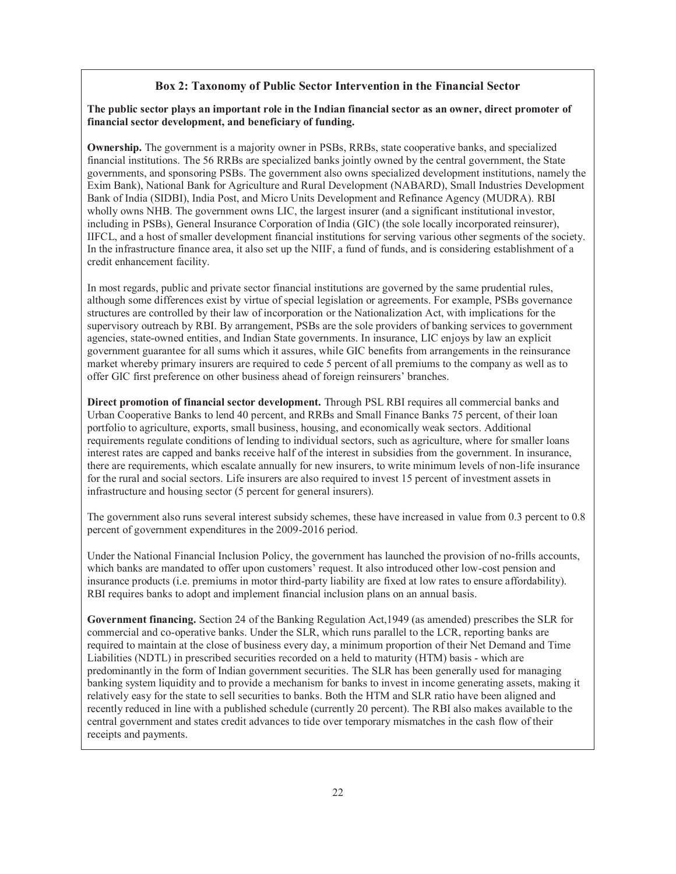#### **Box 2: Taxonomy of Public Sector Intervention in the Financial Sector**

#### **The public sector plays an important role in the Indian financial sector as an owner, direct promoter of financial sector development, and beneficiary of funding.**

**Ownership.** The government is a majority owner in PSBs, RRBs, state cooperative banks, and specialized financial institutions. The 56 RRBs are specialized banks jointly owned by the central government, the State governments, and sponsoring PSBs. The government also owns specialized development institutions, namely the Exim Bank), National Bank for Agriculture and Rural Development (NABARD), Small Industries Development Bank of India (SIDBI), India Post, and Micro Units Development and Refinance Agency (MUDRA). RBI wholly owns NHB. The government owns LIC, the largest insurer (and a significant institutional investor, including in PSBs), General Insurance Corporation of India (GIC) (the sole locally incorporated reinsurer), IIFCL, and a host of smaller development financial institutions for serving various other segments of the society. In the infrastructure finance area, it also set up the NIIF, a fund of funds, and is considering establishment of a credit enhancement facility.

In most regards, public and private sector financial institutions are governed by the same prudential rules, although some differences exist by virtue of special legislation or agreements. For example, PSBs governance structures are controlled by their law of incorporation or the Nationalization Act, with implications for the supervisory outreach by RBI. By arrangement, PSBs are the sole providers of banking services to government agencies, state-owned entities, and Indian State governments. In insurance, LIC enjoys by law an explicit government guarantee for all sums which it assures, while GIC benefits from arrangements in the reinsurance market whereby primary insurers are required to cede 5 percent of all premiums to the company as well as to offer GIC first preference on other business ahead of foreign reinsurers' branches.

**Direct promotion of financial sector development.** Through PSL RBI requires all commercial banks and Urban Cooperative Banks to lend 40 percent, and RRBs and Small Finance Banks 75 percent, of their loan portfolio to agriculture, exports, small business, housing, and economically weak sectors. Additional requirements regulate conditions of lending to individual sectors, such as agriculture, where for smaller loans interest rates are capped and banks receive half of the interest in subsidies from the government. In insurance, there are requirements, which escalate annually for new insurers, to write minimum levels of non-life insurance for the rural and social sectors. Life insurers are also required to invest 15 percent of investment assets in infrastructure and housing sector (5 percent for general insurers).

The government also runs several interest subsidy schemes, these have increased in value from 0.3 percent to 0.8 percent of government expenditures in the 2009-2016 period.

Under the National Financial Inclusion Policy, the government has launched the provision of no-frills accounts, which banks are mandated to offer upon customers' request. It also introduced other low-cost pension and insurance products (i.e. premiums in motor third-party liability are fixed at low rates to ensure affordability). RBI requires banks to adopt and implement financial inclusion plans on an annual basis.

**Government financing.** Section 24 of the Banking Regulation Act,1949 (as amended) prescribes the SLR for commercial and co-operative banks. Under the SLR, which runs parallel to the LCR, reporting banks are required to maintain at the close of business every day, a minimum proportion of their Net Demand and Time Liabilities (NDTL) in prescribed securities recorded on a held to maturity (HTM) basis - which are predominantly in the form of Indian government securities. The SLR has been generally used for managing banking system liquidity and to provide a mechanism for banks to invest in income generating assets, making it relatively easy for the state to sell securities to banks. Both the HTM and SLR ratio have been aligned and recently reduced in line with a published schedule (currently 20 percent). The RBI also makes available to the central government and states credit advances to tide over temporary mismatches in the cash flow of their receipts and payments.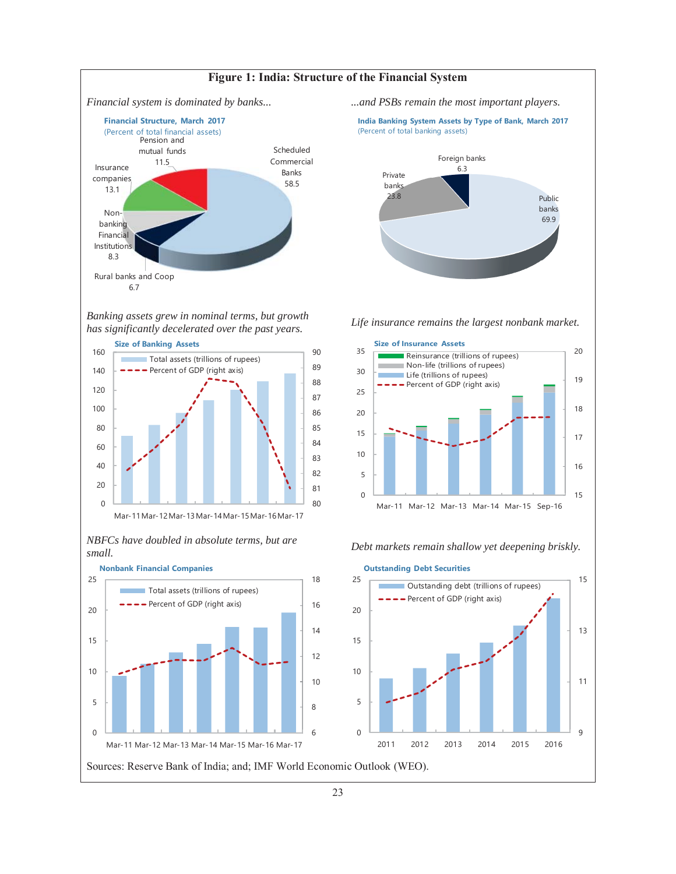

*Banking assets grew in nominal terms, but growth has significantly decelerated over the past years. Life insurance remains the largest nonbank market.* 



*NBFCs have doubled in absolute terms, but are small. Debt markets remain shallow yet deepening briskly.* 



Sources: Reserve Bank of India; and; IMF World Economic Outlook (WEO).



**India Banking System Assets by Type of Bank, March 2017** (Percent of total banking assets)





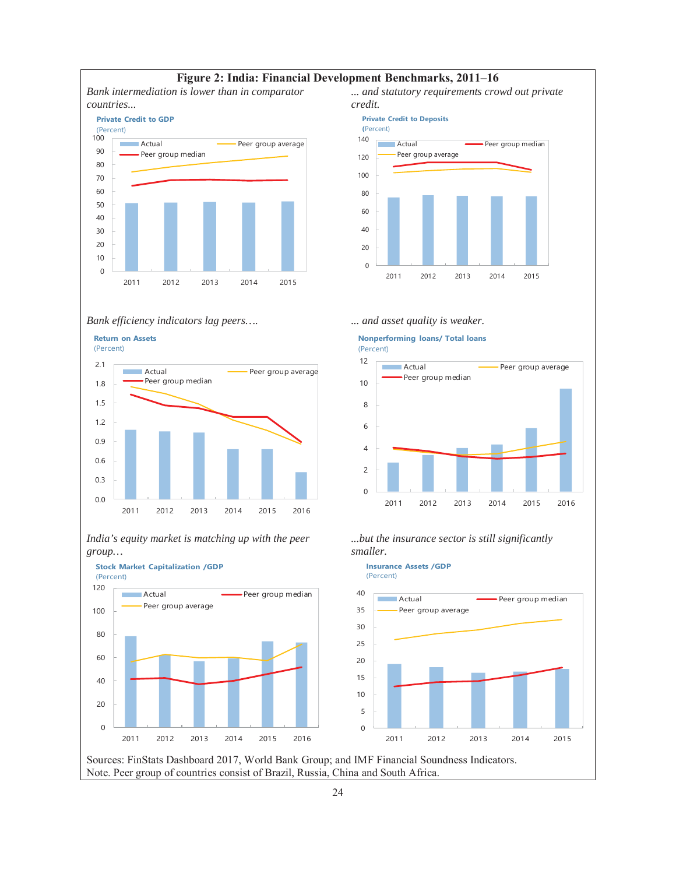

#### **Figure 2: India: Financial Development Benchmarks, 2011–16**

*... and statutory requirements crowd out private credit.* 

**Private Credit to Deposits**



 $\Omega$ 



*Bank efficiency indicators lag peers…. ... and asset quality is weaker.*  **Nonperforming loans/ Total loans**



*India's equity market is matching up with the peer group…*





*...but the insurance sector is still significantly smaller.* 

2011 2012 2013 2014 2015 2016



Sources: FinStats Dashboard 2017, World Bank Group; and IMF Financial Soundness Indicators. Note. Peer group of countries consist of Brazil, Russia, China and South Africa.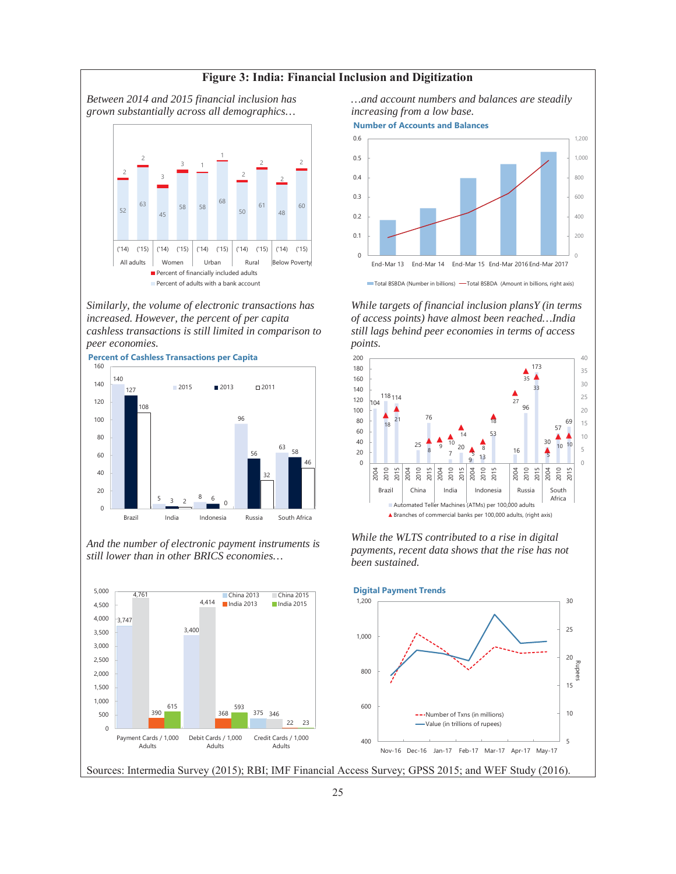

*Similarly, the volume of electronic transactions has increased. However, the percent of per capita cashless transactions is still limited in comparison to peer economies.* 



*And the number of electronic payment instruments is still lower than in other BRICS economies…*



*…and account numbers and balances are steadily increasing from a low base.* 

**Number of Accounts and Balances**



*While targets of financial inclusion plansY (in terms of access points) have almost been reached…India still lags behind peer economies in terms of access points.* 



*While the WLTS contributed to a rise in digital payments, recent data shows that the rise has not been sustained.* 



#### Sources: Intermedia Survey (2015); RBI; IMF Financial Access Survey; GPSS 2015; and WEF Study (2016).

**Figure 3: India: Financial Inclusion and Digitization**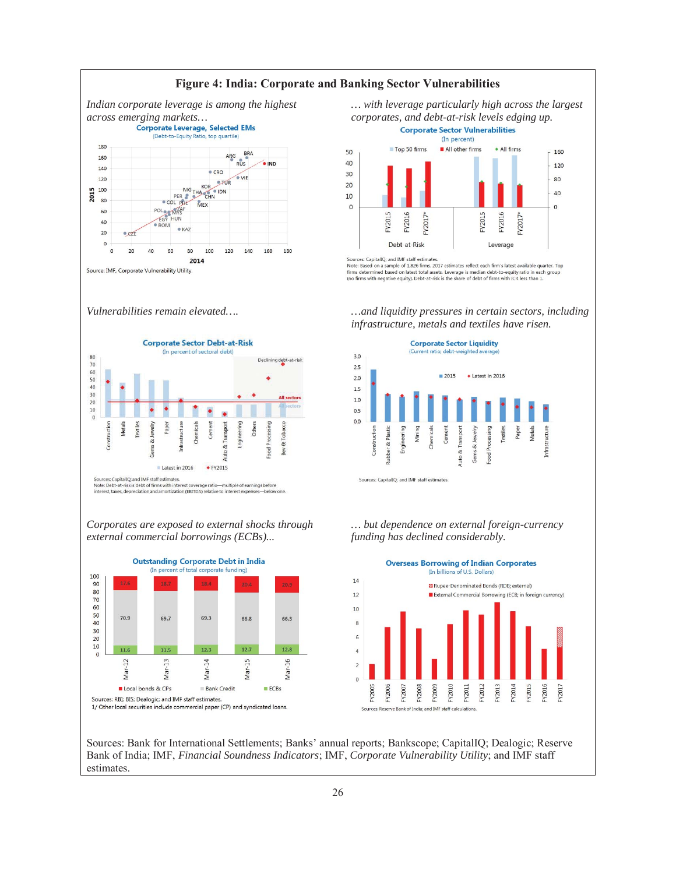

*… with leverage particularly high across the largest* 



Sources: CapitalIO: and IMF staff estimate

Note: Based on a sample of 1,826 firms. 2017 estimates reflect each firm's latest available quarter. Top firms determined based on latest total assets. Leverage is median debt-to-equity ratio in each group<br>(no firms with negative equity). Debt-at-risk is the share of debt of firms with ICR less than 1.

*…and liquidity pressures in certain sectors, including infrastructure, metals and textiles have risen.* 



*Vulnerabilities remain elevated….*

*Corporates are exposed to external shocks through external commercial borrowings (ECBs)...* 





*… but dependence on external foreign-currency funding has declined considerably.* 



Sources: Bank for International Settlements; Banks' annual reports; Bankscope; CapitalIQ; Dealogic; Reserve Bank of India; IMF, *Financial Soundness Indicators*; IMF, *Corporate Vulnerability Utility*; and IMF staff estimates.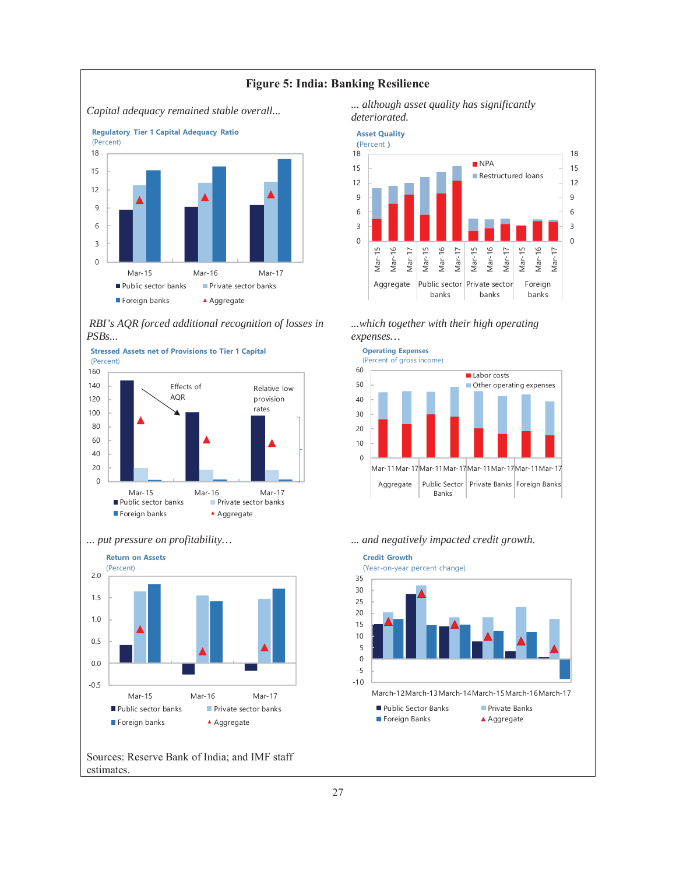

*RBI's AQR forced additional recognition of losses in PSBs...* 





Sources: Reserve Bank of India; and IMF staff estimates.











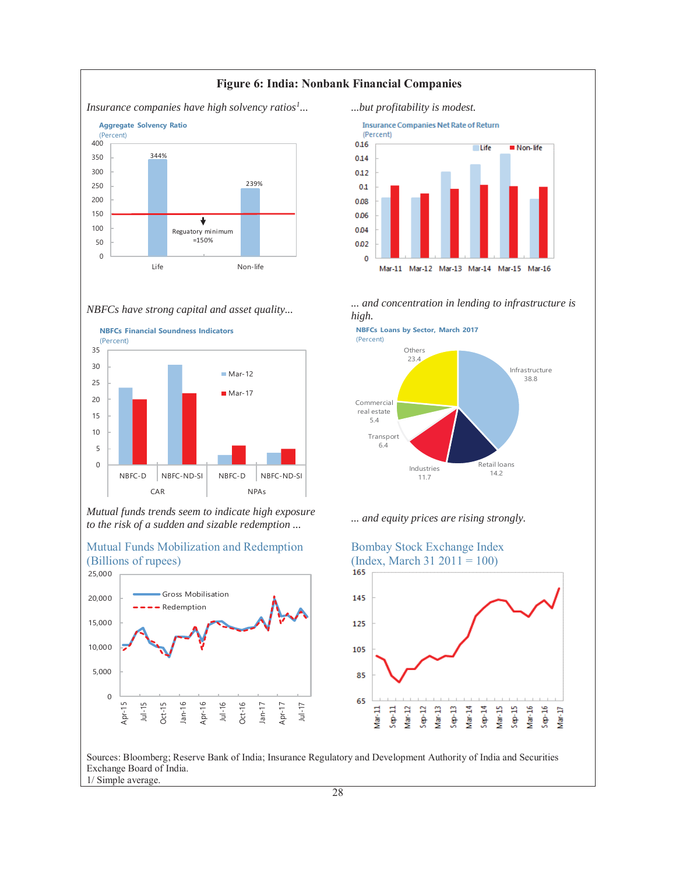



*Mutual funds trends seem to indicate high exposure to the risk of a sudden and sizable redemption ... ... and equity prices are rising strongly.*<br>to the risk of a sudden and sizable redemption ...





*... ...but profitability is modest.*  **Insurance Companies Net Rate of Return** (Percent) 0.16  $L$ ife Non-life 0.14  $0.12$  $0.1$ 0.08 0.06 0.04 0.02  $\mathbf 0$  $Mar-11$ Mar-12 Mar-13 Mar-14 Mar-15 Mar-16

*high.* 







Sources: Bloomberg; Reserve Bank of India; Insurance Regulatory and Development Authority of India and Securities Exchange Board of India. 1/ Simple average.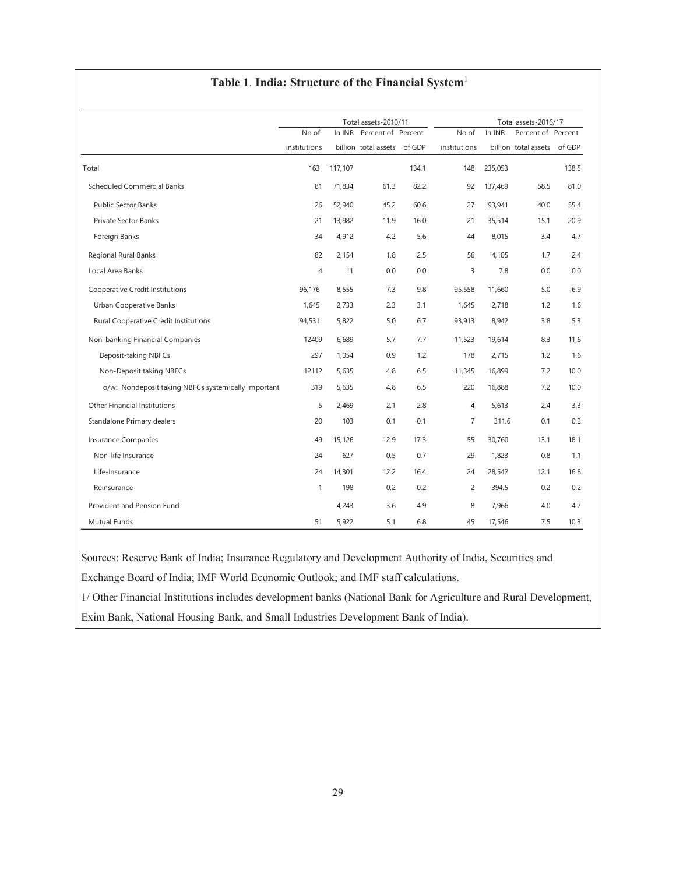#### **Table 1**. **India: Structure of the Financial System**<sup>1</sup>

|                                                     |                |         | Total assets-2010/11 |        |                | Total assets-2016/17 |                      |        |
|-----------------------------------------------------|----------------|---------|----------------------|--------|----------------|----------------------|----------------------|--------|
|                                                     | No of          | In INR  | Percent of Percent   |        | No of          | In INR               | Percent of Percent   |        |
|                                                     | institutions   |         | billion total assets | of GDP | institutions   |                      | billion total assets | of GDP |
| Total                                               | 163            | 117,107 |                      | 134.1  | 148            | 235,053              |                      | 138.5  |
| <b>Scheduled Commercial Banks</b>                   | 81             | 71.834  | 61.3                 | 82.2   | 92             | 137.469              | 58.5                 | 81.0   |
| <b>Public Sector Banks</b>                          | 26             | 52,940  | 45.2                 | 60.6   | 27             | 93,941               | 40.0                 | 55.4   |
| <b>Private Sector Banks</b>                         | 21             | 13,982  | 11.9                 | 16.0   | 21             | 35,514               | 15.1                 | 20.9   |
| Foreign Banks                                       | 34             | 4,912   | 4.2                  | 5.6    | 44             | 8,015                | 3.4                  | 4.7    |
| Regional Rural Banks                                | 82             | 2,154   | 1.8                  | 2.5    | 56             | 4.105                | 1.7                  | 2.4    |
| Local Area Banks                                    | $\overline{4}$ | 11      | 0.0                  | 0.0    | 3              | 7.8                  | 0.0                  | 0.0    |
| Cooperative Credit Institutions                     | 96,176         | 8,555   | 7.3                  | 9.8    | 95,558         | 11,660               | 5.0                  | 6.9    |
| Urban Cooperative Banks                             | 1,645          | 2,733   | 2.3                  | 3.1    | 1,645          | 2,718                | 1.2                  | 1.6    |
| Rural Cooperative Credit Institutions               | 94,531         | 5,822   | 5.0                  | 6.7    | 93,913         | 8,942                | 3.8                  | 5.3    |
| Non-banking Financial Companies                     | 12409          | 6,689   | 5.7                  | 7.7    | 11,523         | 19,614               | 8.3                  | 11.6   |
| Deposit-taking NBFCs                                | 297            | 1,054   | 0.9                  | 1.2    | 178            | 2,715                | 1.2                  | 1.6    |
| Non-Deposit taking NBFCs                            | 12112          | 5,635   | 4.8                  | 6.5    | 11,345         | 16,899               | 7.2                  | 10.0   |
| o/w: Nondeposit taking NBFCs systemically important | 319            | 5,635   | 4.8                  | 6.5    | 220            | 16,888               | 7.2                  | 10.0   |
| <b>Other Financial Institutions</b>                 | 5              | 2,469   | 2.1                  | 2.8    | $\overline{4}$ | 5,613                | 2.4                  | 3.3    |
| Standalone Primary dealers                          | 20             | 103     | 0.1                  | 0.1    | $\overline{7}$ | 311.6                | 0.1                  | 0.2    |
| <b>Insurance Companies</b>                          | 49             | 15,126  | 12.9                 | 17.3   | 55             | 30,760               | 13.1                 | 18.1   |
| Non-life Insurance                                  | 24             | 627     | 0.5                  | 0.7    | 29             | 1,823                | 0.8                  | 1.1    |
| Life-Insurance                                      | 24             | 14,301  | 12.2                 | 16.4   | 24             | 28,542               | 12.1                 | 16.8   |
| Reinsurance                                         | $\mathbf{1}$   | 198     | 0.2                  | 0.2    | 2              | 394.5                | 0.2                  | 0.2    |
| Provident and Pension Fund                          |                | 4,243   | 3.6                  | 4.9    | 8              | 7,966                | 4.0                  | 4.7    |
| Mutual Funds                                        | 51             | 5,922   | 5.1                  | 6.8    | 45             | 17,546               | 7.5                  | 10.3   |

Sources: Reserve Bank of India; Insurance Regulatory and Development Authority of India, Securities and Exchange Board of India; IMF World Economic Outlook; and IMF staff calculations.

1/ Other Financial Institutions includes development banks (National Bank for Agriculture and Rural Development, Exim Bank, National Housing Bank, and Small Industries Development Bank of India).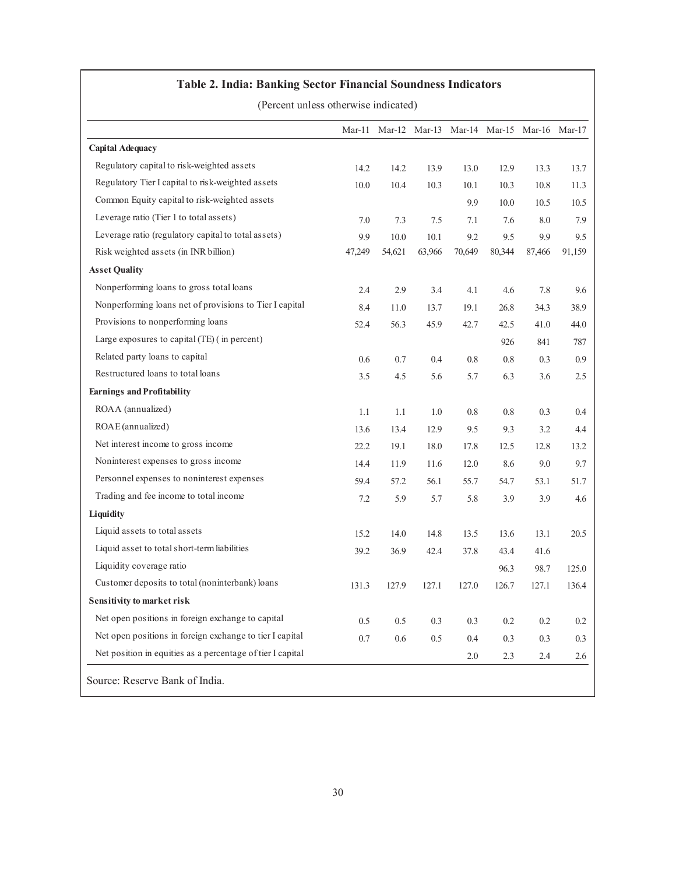#### **Table 2. India: Banking Sector Financial Soundness Indicators**

(Percent unless otherwise indicated)

|                                                            | Mar-11 |        |        | Mar-12 Mar-13 Mar-14 Mar-15 Mar-16 Mar-17 |         |         |        |
|------------------------------------------------------------|--------|--------|--------|-------------------------------------------|---------|---------|--------|
| <b>Capital Adequacy</b>                                    |        |        |        |                                           |         |         |        |
| Regulatory capital to risk-weighted assets                 | 14.2   | 14.2   | 13.9   | 13.0                                      | 12.9    | 13.3    | 13.7   |
| Regulatory Tier I capital to risk-weighted assets          | 10.0   | 10.4   | 10.3   | 10.1                                      | 10.3    | 10.8    | 11.3   |
| Common Equity capital to risk-weighted assets              |        |        |        | 9.9                                       | 10.0    | 10.5    | 10.5   |
| Leverage ratio (Tier 1 to total assets)                    | 7.0    | 7.3    | 7.5    | 7.1                                       | 7.6     | $8.0\,$ | 7.9    |
| Leverage ratio (regulatory capital to total assets)        | 9.9    | 10.0   | 10.1   | 9.2                                       | 9.5     | 9.9     | 9.5    |
| Risk weighted assets (in INR billion)                      | 47,249 | 54,621 | 63,966 | 70,649                                    | 80,344  | 87,466  | 91,159 |
| <b>Asset Quality</b>                                       |        |        |        |                                           |         |         |        |
| Nonperforming loans to gross total loans                   | 2.4    | 2.9    | 3.4    | 4.1                                       | 4.6     | 7.8     | 9.6    |
| Nonperforming loans net of provisions to Tier I capital    | 8.4    | 11.0   | 13.7   | 19.1                                      | 26.8    | 34.3    | 38.9   |
| Provisions to nonperforming loans                          | 52.4   | 56.3   | 45.9   | 42.7                                      | 42.5    | 41.0    | 44.0   |
| Large exposures to capital (TE) (in percent)               |        |        |        |                                           | 926     | 841     | 787    |
| Related party loans to capital                             | 0.6    | 0.7    | 0.4    | $0.8\,$                                   | $0.8\,$ | 0.3     | 0.9    |
| Restructured loans to total loans                          | 3.5    | 4.5    | 5.6    | 5.7                                       | 6.3     | 3.6     | 2.5    |
| <b>Earnings and Profitability</b>                          |        |        |        |                                           |         |         |        |
| ROAA (annualized)                                          | 1.1    | 1.1    | 1.0    | $0.8\,$                                   | $0.8\,$ | 0.3     | 0.4    |
| ROAE (annualized)                                          | 13.6   | 13.4   | 12.9   | 9.5                                       | 9.3     | 3.2     | 4.4    |
| Net interest income to gross income                        | 22.2   | 19.1   | 18.0   | 17.8                                      | 12.5    | 12.8    | 13.2   |
| Noninterest expenses to gross income                       | 14.4   | 11.9   | 11.6   | 12.0                                      | 8.6     | 9.0     | 9.7    |
| Personnel expenses to noninterest expenses                 | 59.4   | 57.2   | 56.1   | 55.7                                      | 54.7    | 53.1    | 51.7   |
| Trading and fee income to total income                     | 7.2    | 5.9    | 5.7    | 5.8                                       | 3.9     | 3.9     | 4.6    |
| Liquidity                                                  |        |        |        |                                           |         |         |        |
| Liquid assets to total assets                              | 15.2   | 14.0   | 14.8   | 13.5                                      | 13.6    | 13.1    | 20.5   |
| Liquid asset to total short-term liabilities               | 39.2   | 36.9   | 42.4   | 37.8                                      | 43.4    | 41.6    |        |
| Liquidity coverage ratio                                   |        |        |        |                                           | 96.3    | 98.7    | 125.0  |
| Customer deposits to total (noninterbank) loans            | 131.3  | 127.9  | 127.1  | 127.0                                     | 126.7   | 127.1   | 136.4  |
| <b>Sensitivity to market risk</b>                          |        |        |        |                                           |         |         |        |
| Net open positions in foreign exchange to capital          | 0.5    | 0.5    | 0.3    | 0.3                                       | 0.2     | 0.2     | 0.2    |
| Net open positions in foreign exchange to tier I capital   | 0.7    | 0.6    | 0.5    | 0.4                                       | 0.3     | 0.3     | 0.3    |
| Net position in equities as a percentage of tier I capital |        |        |        | $2.0\,$                                   | 2.3     | 2.4     | 2.6    |
| Source: Reserve Bank of India.                             |        |        |        |                                           |         |         |        |